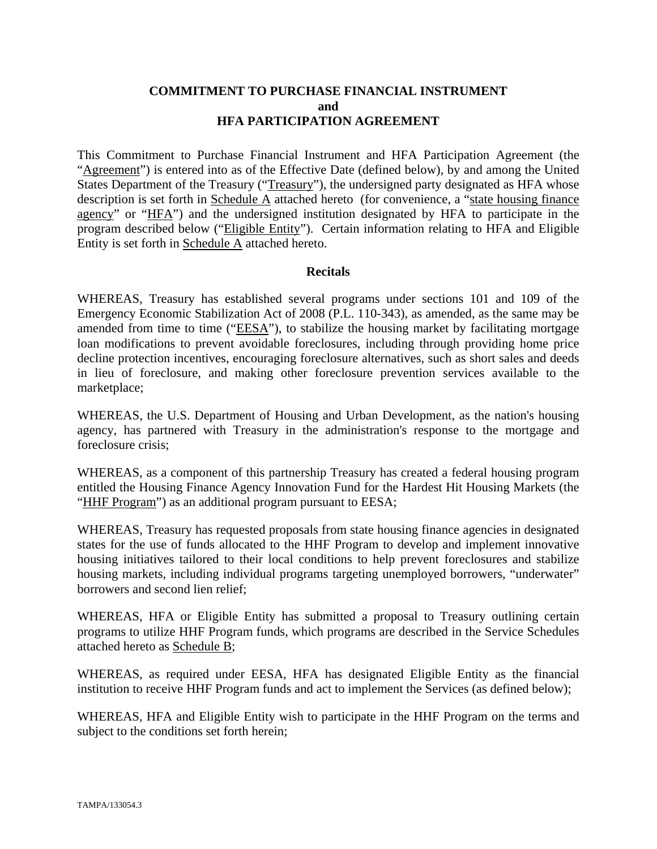#### **COMMITMENT TO PURCHASE FINANCIAL INSTRUMENT and HFA PARTICIPATION AGREEMENT**

This Commitment to Purchase Financial Instrument and HFA Participation Agreement (the "Agreement") is entered into as of the Effective Date (defined below), by and among the United States Department of the Treasury ("Treasury"), the undersigned party designated as HFA whose description is set forth in Schedule A attached hereto (for convenience, a "state housing finance agency" or "HFA") and the undersigned institution designated by HFA to participate in the program described below ("Eligible Entity"). Certain information relating to HFA and Eligible Entity is set forth in Schedule A attached hereto.

#### **Recitals**

WHEREAS, Treasury has established several programs under sections 101 and 109 of the Emergency Economic Stabilization Act of 2008 (P.L. 110-343), as amended, as the same may be amended from time to time ("EESA"), to stabilize the housing market by facilitating mortgage loan modifications to prevent avoidable foreclosures, including through providing home price decline protection incentives, encouraging foreclosure alternatives, such as short sales and deeds in lieu of foreclosure, and making other foreclosure prevention services available to the marketplace;

WHEREAS, the U.S. Department of Housing and Urban Development, as the nation's housing agency, has partnered with Treasury in the administration's response to the mortgage and foreclosure crisis;

WHEREAS, as a component of this partnership Treasury has created a federal housing program entitled the Housing Finance Agency Innovation Fund for the Hardest Hit Housing Markets (the "HHF Program") as an additional program pursuant to EESA;

WHEREAS, Treasury has requested proposals from state housing finance agencies in designated states for the use of funds allocated to the HHF Program to develop and implement innovative housing initiatives tailored to their local conditions to help prevent foreclosures and stabilize housing markets, including individual programs targeting unemployed borrowers, "underwater" borrowers and second lien relief;

WHEREAS, HFA or Eligible Entity has submitted a proposal to Treasury outlining certain programs to utilize HHF Program funds, which programs are described in the Service Schedules attached hereto as Schedule B;

WHEREAS, as required under EESA, HFA has designated Eligible Entity as the financial institution to receive HHF Program funds and act to implement the Services (as defined below);

WHEREAS, HFA and Eligible Entity wish to participate in the HHF Program on the terms and subject to the conditions set forth herein;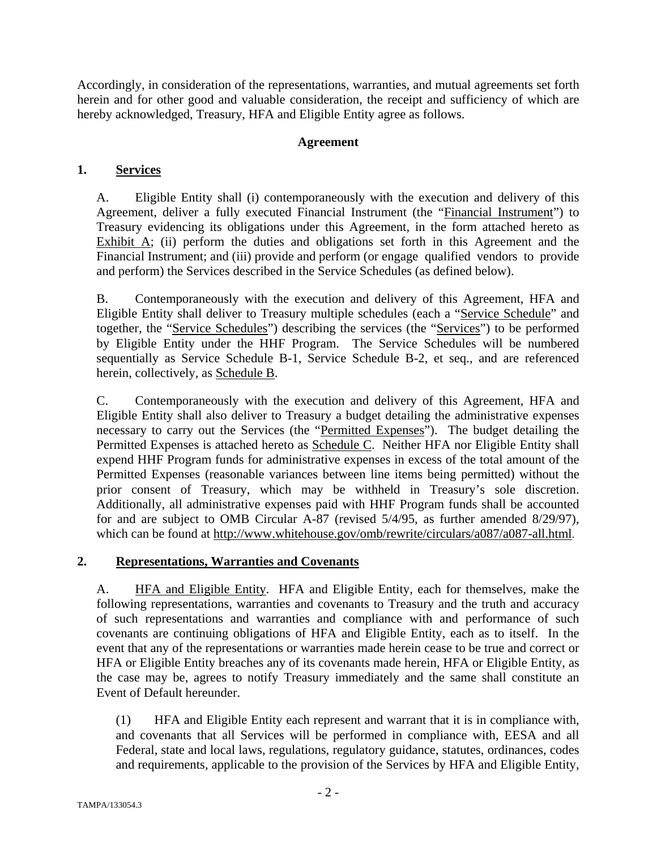Accordingly, in consideration of the representations, warranties, and mutual agreements set forth herein and for other good and valuable consideration, the receipt and sufficiency of which are hereby acknowledged, Treasury, HFA and Eligible Entity agree as follows.

#### **Agreement**

#### **1. Services**

A. Eligible Entity shall (i) contemporaneously with the execution and delivery of this Agreement, deliver a fully executed Financial Instrument (the "Financial Instrument") to Treasury evidencing its obligations under this Agreement, in the form attached hereto as Exhibit  $\overline{A}$ ; (ii) perform the duties and obligations set forth in this Agreement and the Financial Instrument; and (iii) provide and perform (or engage qualified vendors to provide and perform) the Services described in the Service Schedules (as defined below).

B. Contemporaneously with the execution and delivery of this Agreement, HFA and Eligible Entity shall deliver to Treasury multiple schedules (each a "Service Schedule" and together, the "Service Schedules") describing the services (the "Services") to be performed by Eligible Entity under the HHF Program. The Service Schedules will be numbered sequentially as Service Schedule B-1, Service Schedule B-2, et seq., and are referenced herein, collectively, as Schedule B.

C. Contemporaneously with the execution and delivery of this Agreement, HFA and Eligible Entity shall also deliver to Treasury a budget detailing the administrative expenses necessary to carry out the Services (the "Permitted Expenses"). The budget detailing the Permitted Expenses is attached hereto as Schedule C. Neither HFA nor Eligible Entity shall expend HHF Program funds for administrative expenses in excess of the total amount of the Permitted Expenses (reasonable variances between line items being permitted) without the prior consent of Treasury, which may be withheld in Treasury's sole discretion. Additionally, all administrative expenses paid with HHF Program funds shall be accounted for and are subject to OMB Circular A-87 (revised 5/4/95, as further amended 8/29/97), which can be found at http://www.whitehouse.gov/omb/rewrite/circulars/a087/a087-all.html.

#### **2. Representations, Warranties and Covenants**

A. **HFA and Eligible Entity.** HFA and Eligible Entity, each for themselves, make the following representations, warranties and covenants to Treasury and the truth and accuracy of such representations and warranties and compliance with and performance of such covenants are continuing obligations of HFA and Eligible Entity, each as to itself. In the event that any of the representations or warranties made herein cease to be true and correct or HFA or Eligible Entity breaches any of its covenants made herein, HFA or Eligible Entity, as the case may be, agrees to notify Treasury immediately and the same shall constitute an Event of Default hereunder.

(1) HFA and Eligible Entity each represent and warrant that it is in compliance with, and covenants that all Services will be performed in compliance with, EESA and all Federal, state and local laws, regulations, regulatory guidance, statutes, ordinances, codes and requirements, applicable to the provision of the Services by HFA and Eligible Entity,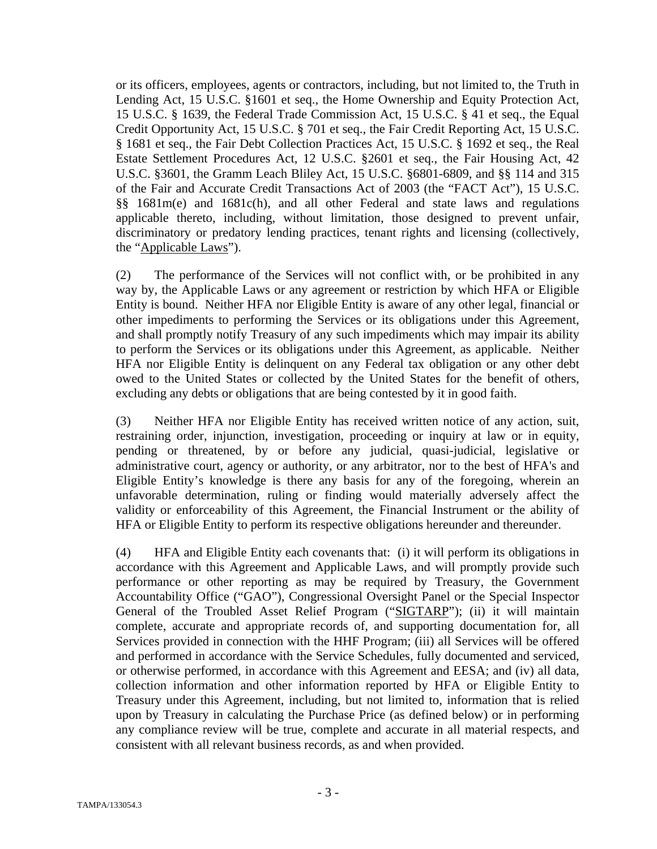or its officers, employees, agents or contractors, including, but not limited to, the Truth in Lending Act, 15 U.S.C. §1601 et seq., the Home Ownership and Equity Protection Act, 15 U.S.C. § 1639, the Federal Trade Commission Act, 15 U.S.C. § 41 et seq., the Equal Credit Opportunity Act, 15 U.S.C. § 701 et seq., the Fair Credit Reporting Act, 15 U.S.C. § 1681 et seq., the Fair Debt Collection Practices Act, 15 U.S.C. § 1692 et seq., the Real Estate Settlement Procedures Act, 12 U.S.C. §2601 et seq., the Fair Housing Act, 42 U.S.C. §3601, the Gramm Leach Bliley Act, 15 U.S.C. §6801-6809, and §§ 114 and 315 of the Fair and Accurate Credit Transactions Act of 2003 (the "FACT Act"), 15 U.S.C. §§ 1681m(e) and 1681c(h), and all other Federal and state laws and regulations applicable thereto, including, without limitation, those designed to prevent unfair, discriminatory or predatory lending practices, tenant rights and licensing (collectively, the "Applicable Laws").

(2) The performance of the Services will not conflict with, or be prohibited in any way by, the Applicable Laws or any agreement or restriction by which HFA or Eligible Entity is bound. Neither HFA nor Eligible Entity is aware of any other legal, financial or other impediments to performing the Services or its obligations under this Agreement, and shall promptly notify Treasury of any such impediments which may impair its ability to perform the Services or its obligations under this Agreement, as applicable. Neither HFA nor Eligible Entity is delinquent on any Federal tax obligation or any other debt owed to the United States or collected by the United States for the benefit of others, excluding any debts or obligations that are being contested by it in good faith.

(3) Neither HFA nor Eligible Entity has received written notice of any action, suit, restraining order, injunction, investigation, proceeding or inquiry at law or in equity, pending or threatened, by or before any judicial, quasi-judicial, legislative or administrative court, agency or authority, or any arbitrator, nor to the best of HFA's and Eligible Entity's knowledge is there any basis for any of the foregoing, wherein an unfavorable determination, ruling or finding would materially adversely affect the validity or enforceability of this Agreement, the Financial Instrument or the ability of HFA or Eligible Entity to perform its respective obligations hereunder and thereunder.

(4) HFA and Eligible Entity each covenants that: (i) it will perform its obligations in accordance with this Agreement and Applicable Laws, and will promptly provide such performance or other reporting as may be required by Treasury, the Government Accountability Office ("GAO"), Congressional Oversight Panel or the Special Inspector General of the Troubled Asset Relief Program ("SIGTARP"); (ii) it will maintain complete, accurate and appropriate records of, and supporting documentation for, all Services provided in connection with the HHF Program; (iii) all Services will be offered and performed in accordance with the Service Schedules, fully documented and serviced, or otherwise performed, in accordance with this Agreement and EESA; and (iv) all data, collection information and other information reported by HFA or Eligible Entity to Treasury under this Agreement, including, but not limited to, information that is relied upon by Treasury in calculating the Purchase Price (as defined below) or in performing any compliance review will be true, complete and accurate in all material respects, and consistent with all relevant business records, as and when provided.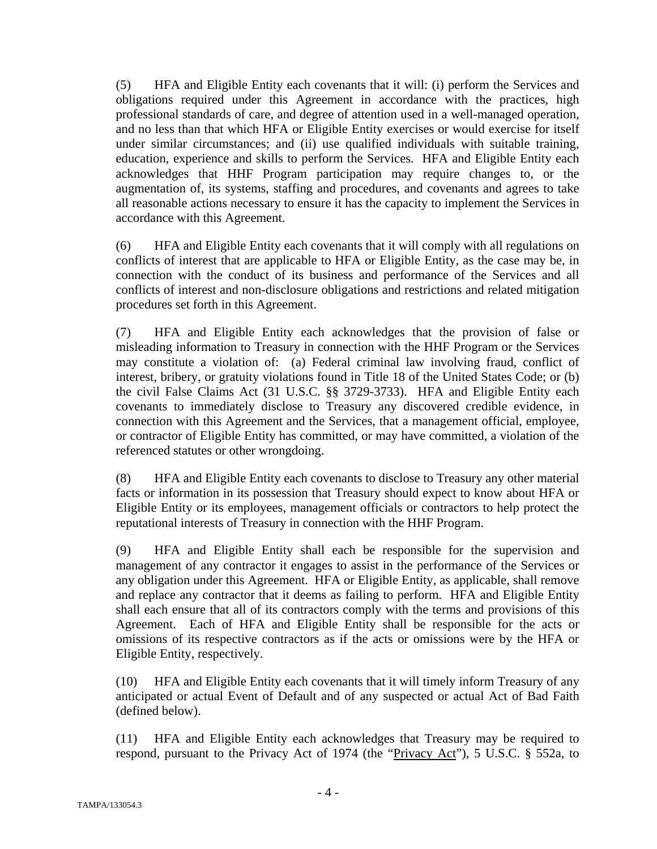(5) HFA and Eligible Entity each covenants that it will: (i) perform the Services and obligations required under this Agreement in accordance with the practices, high professional standards of care, and degree of attention used in a well-managed operation, and no less than that which HFA or Eligible Entity exercises or would exercise for itself under similar circumstances; and (ii) use qualified individuals with suitable training, education, experience and skills to perform the Services. HFA and Eligible Entity each acknowledges that HHF Program participation may require changes to, or the augmentation of, its systems, staffing and procedures, and covenants and agrees to take all reasonable actions necessary to ensure it has the capacity to implement the Services in accordance with this Agreement.

(6) HFA and Eligible Entity each covenants that it will comply with all regulations on conflicts of interest that are applicable to HFA or Eligible Entity, as the case may be, in connection with the conduct of its business and performance of the Services and all conflicts of interest and non-disclosure obligations and restrictions and related mitigation procedures set forth in this Agreement.

(7) HFA and Eligible Entity each acknowledges that the provision of false or misleading information to Treasury in connection with the HHF Program or the Services may constitute a violation of: (a) Federal criminal law involving fraud, conflict of interest, bribery, or gratuity violations found in Title 18 of the United States Code; or (b) the civil False Claims Act (31 U.S.C. §§ 3729-3733). HFA and Eligible Entity each covenants to immediately disclose to Treasury any discovered credible evidence, in connection with this Agreement and the Services, that a management official, employee, or contractor of Eligible Entity has committed, or may have committed, a violation of the referenced statutes or other wrongdoing.

(8) HFA and Eligible Entity each covenants to disclose to Treasury any other material facts or information in its possession that Treasury should expect to know about HFA or Eligible Entity or its employees, management officials or contractors to help protect the reputational interests of Treasury in connection with the HHF Program.

(9) HFA and Eligible Entity shall each be responsible for the supervision and management of any contractor it engages to assist in the performance of the Services or any obligation under this Agreement. HFA or Eligible Entity, as applicable, shall remove and replace any contractor that it deems as failing to perform. HFA and Eligible Entity shall each ensure that all of its contractors comply with the terms and provisions of this Agreement. Each of HFA and Eligible Entity shall be responsible for the acts or omissions of its respective contractors as if the acts or omissions were by the HFA or Eligible Entity, respectively.

(10) HFA and Eligible Entity each covenants that it will timely inform Treasury of any anticipated or actual Event of Default and of any suspected or actual Act of Bad Faith (defined below).

(11) HFA and Eligible Entity each acknowledges that Treasury may be required to respond, pursuant to the Privacy Act of 1974 (the "Privacy Act"), 5 U.S.C. § 552a, to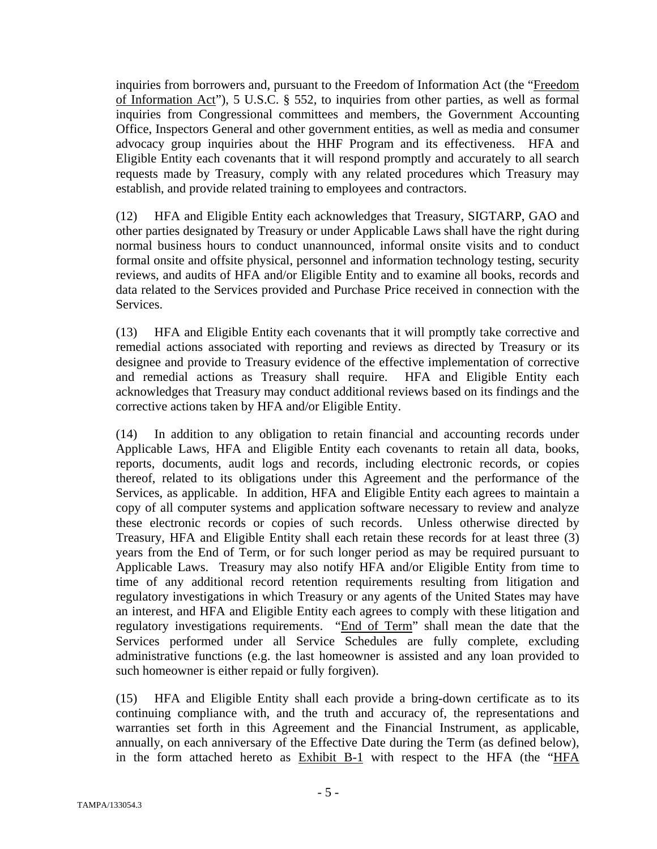inquiries from borrowers and, pursuant to the Freedom of Information Act (the "Freedom of Information Act"), 5 U.S.C. § 552, to inquiries from other parties, as well as formal inquiries from Congressional committees and members, the Government Accounting Office, Inspectors General and other government entities, as well as media and consumer advocacy group inquiries about the HHF Program and its effectiveness. HFA and Eligible Entity each covenants that it will respond promptly and accurately to all search requests made by Treasury, comply with any related procedures which Treasury may establish, and provide related training to employees and contractors.

(12) HFA and Eligible Entity each acknowledges that Treasury, SIGTARP, GAO and other parties designated by Treasury or under Applicable Laws shall have the right during normal business hours to conduct unannounced, informal onsite visits and to conduct formal onsite and offsite physical, personnel and information technology testing, security reviews, and audits of HFA and/or Eligible Entity and to examine all books, records and data related to the Services provided and Purchase Price received in connection with the Services.

(13) HFA and Eligible Entity each covenants that it will promptly take corrective and remedial actions associated with reporting and reviews as directed by Treasury or its designee and provide to Treasury evidence of the effective implementation of corrective and remedial actions as Treasury shall require. HFA and Eligible Entity each acknowledges that Treasury may conduct additional reviews based on its findings and the corrective actions taken by HFA and/or Eligible Entity.

(14) In addition to any obligation to retain financial and accounting records under Applicable Laws, HFA and Eligible Entity each covenants to retain all data, books, reports, documents, audit logs and records, including electronic records, or copies thereof, related to its obligations under this Agreement and the performance of the Services, as applicable. In addition, HFA and Eligible Entity each agrees to maintain a copy of all computer systems and application software necessary to review and analyze these electronic records or copies of such records. Unless otherwise directed by Treasury, HFA and Eligible Entity shall each retain these records for at least three (3) years from the End of Term, or for such longer period as may be required pursuant to Applicable Laws. Treasury may also notify HFA and/or Eligible Entity from time to time of any additional record retention requirements resulting from litigation and regulatory investigations in which Treasury or any agents of the United States may have an interest, and HFA and Eligible Entity each agrees to comply with these litigation and regulatory investigations requirements. "End of Term" shall mean the date that the Services performed under all Service Schedules are fully complete, excluding administrative functions (e.g. the last homeowner is assisted and any loan provided to such homeowner is either repaid or fully forgiven).

(15) HFA and Eligible Entity shall each provide a bring-down certificate as to its continuing compliance with, and the truth and accuracy of, the representations and warranties set forth in this Agreement and the Financial Instrument, as applicable, annually, on each anniversary of the Effective Date during the Term (as defined below), in the form attached hereto as Exhibit B-1 with respect to the HFA (the "HFA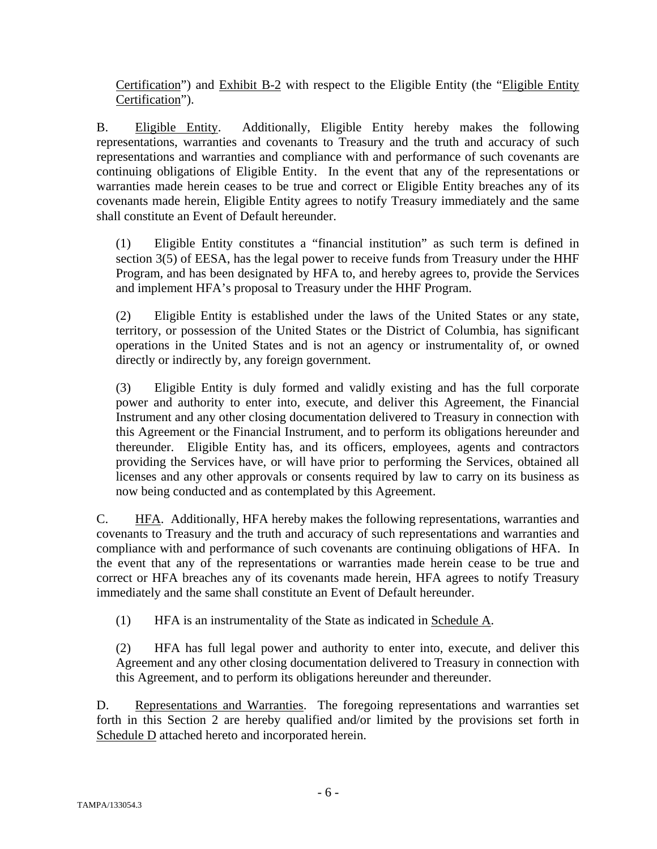Certification") and Exhibit B-2 with respect to the Eligible Entity (the "Eligible Entity Certification").

B. Eligible Entity. Additionally, Eligible Entity hereby makes the following representations, warranties and covenants to Treasury and the truth and accuracy of such representations and warranties and compliance with and performance of such covenants are continuing obligations of Eligible Entity. In the event that any of the representations or warranties made herein ceases to be true and correct or Eligible Entity breaches any of its covenants made herein, Eligible Entity agrees to notify Treasury immediately and the same shall constitute an Event of Default hereunder.

(1) Eligible Entity constitutes a "financial institution" as such term is defined in section 3(5) of EESA, has the legal power to receive funds from Treasury under the HHF Program, and has been designated by HFA to, and hereby agrees to, provide the Services and implement HFA's proposal to Treasury under the HHF Program.

(2) Eligible Entity is established under the laws of the United States or any state, territory, or possession of the United States or the District of Columbia, has significant operations in the United States and is not an agency or instrumentality of, or owned directly or indirectly by, any foreign government.

(3) Eligible Entity is duly formed and validly existing and has the full corporate power and authority to enter into, execute, and deliver this Agreement, the Financial Instrument and any other closing documentation delivered to Treasury in connection with this Agreement or the Financial Instrument, and to perform its obligations hereunder and thereunder. Eligible Entity has, and its officers, employees, agents and contractors providing the Services have, or will have prior to performing the Services, obtained all licenses and any other approvals or consents required by law to carry on its business as now being conducted and as contemplated by this Agreement.

C. HFA. Additionally, HFA hereby makes the following representations, warranties and covenants to Treasury and the truth and accuracy of such representations and warranties and compliance with and performance of such covenants are continuing obligations of HFA. In the event that any of the representations or warranties made herein cease to be true and correct or HFA breaches any of its covenants made herein, HFA agrees to notify Treasury immediately and the same shall constitute an Event of Default hereunder.

(1) HFA is an instrumentality of the State as indicated in Schedule A.

(2) HFA has full legal power and authority to enter into, execute, and deliver this Agreement and any other closing documentation delivered to Treasury in connection with this Agreement, and to perform its obligations hereunder and thereunder.

D. Representations and Warranties. The foregoing representations and warranties set forth in this Section 2 are hereby qualified and/or limited by the provisions set forth in Schedule D attached hereto and incorporated herein.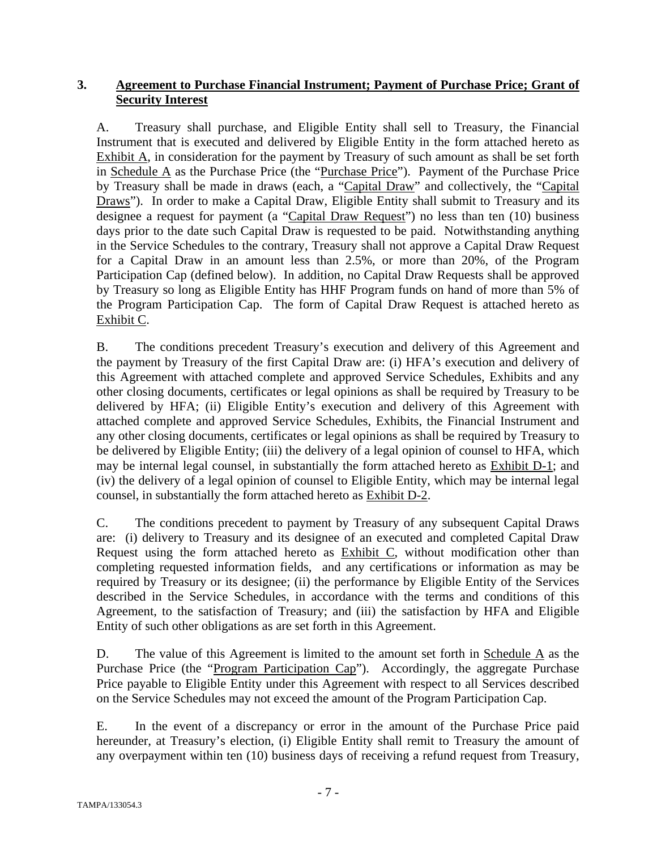#### **3. Agreement to Purchase Financial Instrument; Payment of Purchase Price; Grant of Security Interest**

A. Treasury shall purchase, and Eligible Entity shall sell to Treasury, the Financial Instrument that is executed and delivered by Eligible Entity in the form attached hereto as Exhibit A, in consideration for the payment by Treasury of such amount as shall be set forth in Schedule A as the Purchase Price (the "Purchase Price"). Payment of the Purchase Price by Treasury shall be made in draws (each, a "Capital Draw" and collectively, the "Capital Draws"). In order to make a Capital Draw, Eligible Entity shall submit to Treasury and its designee a request for payment (a "Capital Draw Request") no less than ten (10) business days prior to the date such Capital Draw is requested to be paid. Notwithstanding anything in the Service Schedules to the contrary, Treasury shall not approve a Capital Draw Request for a Capital Draw in an amount less than 2.5%, or more than 20%, of the Program Participation Cap (defined below). In addition, no Capital Draw Requests shall be approved by Treasury so long as Eligible Entity has HHF Program funds on hand of more than 5% of the Program Participation Cap. The form of Capital Draw Request is attached hereto as Exhibit C.

B. The conditions precedent Treasury's execution and delivery of this Agreement and the payment by Treasury of the first Capital Draw are: (i) HFA's execution and delivery of this Agreement with attached complete and approved Service Schedules, Exhibits and any other closing documents, certificates or legal opinions as shall be required by Treasury to be delivered by HFA; (ii) Eligible Entity's execution and delivery of this Agreement with attached complete and approved Service Schedules, Exhibits, the Financial Instrument and any other closing documents, certificates or legal opinions as shall be required by Treasury to be delivered by Eligible Entity; (iii) the delivery of a legal opinion of counsel to HFA, which may be internal legal counsel, in substantially the form attached hereto as Exhibit D-1; and (iv) the delivery of a legal opinion of counsel to Eligible Entity, which may be internal legal counsel, in substantially the form attached hereto as Exhibit D-2.

C. The conditions precedent to payment by Treasury of any subsequent Capital Draws are: (i) delivery to Treasury and its designee of an executed and completed Capital Draw Request using the form attached hereto as Exhibit C, without modification other than completing requested information fields, and any certifications or information as may be required by Treasury or its designee; (ii) the performance by Eligible Entity of the Services described in the Service Schedules, in accordance with the terms and conditions of this Agreement, to the satisfaction of Treasury; and (iii) the satisfaction by HFA and Eligible Entity of such other obligations as are set forth in this Agreement.

D. The value of this Agreement is limited to the amount set forth in Schedule  $\overline{A}$  as the Purchase Price (the "Program Participation Cap"). Accordingly, the aggregate Purchase Price payable to Eligible Entity under this Agreement with respect to all Services described on the Service Schedules may not exceed the amount of the Program Participation Cap.

E. In the event of a discrepancy or error in the amount of the Purchase Price paid hereunder, at Treasury's election, (i) Eligible Entity shall remit to Treasury the amount of any overpayment within ten (10) business days of receiving a refund request from Treasury,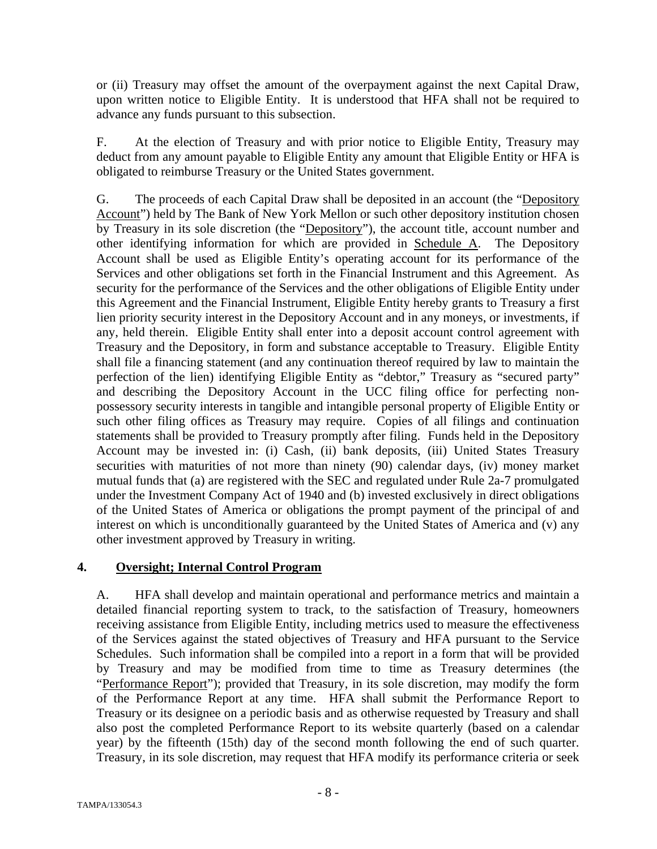or (ii) Treasury may offset the amount of the overpayment against the next Capital Draw, upon written notice to Eligible Entity. It is understood that HFA shall not be required to advance any funds pursuant to this subsection.

F. At the election of Treasury and with prior notice to Eligible Entity, Treasury may deduct from any amount payable to Eligible Entity any amount that Eligible Entity or HFA is obligated to reimburse Treasury or the United States government.

G. The proceeds of each Capital Draw shall be deposited in an account (the "Depository Account") held by The Bank of New York Mellon or such other depository institution chosen by Treasury in its sole discretion (the "Depository"), the account title, account number and other identifying information for which are provided in Schedule A. The Depository Account shall be used as Eligible Entity's operating account for its performance of the Services and other obligations set forth in the Financial Instrument and this Agreement. As security for the performance of the Services and the other obligations of Eligible Entity under this Agreement and the Financial Instrument, Eligible Entity hereby grants to Treasury a first lien priority security interest in the Depository Account and in any moneys, or investments, if any, held therein. Eligible Entity shall enter into a deposit account control agreement with Treasury and the Depository, in form and substance acceptable to Treasury. Eligible Entity shall file a financing statement (and any continuation thereof required by law to maintain the perfection of the lien) identifying Eligible Entity as "debtor," Treasury as "secured party" and describing the Depository Account in the UCC filing office for perfecting nonpossessory security interests in tangible and intangible personal property of Eligible Entity or such other filing offices as Treasury may require. Copies of all filings and continuation statements shall be provided to Treasury promptly after filing. Funds held in the Depository Account may be invested in: (i) Cash, (ii) bank deposits, (iii) United States Treasury securities with maturities of not more than ninety (90) calendar days, (iv) money market mutual funds that (a) are registered with the SEC and regulated under Rule 2a-7 promulgated under the Investment Company Act of 1940 and (b) invested exclusively in direct obligations of the United States of America or obligations the prompt payment of the principal of and interest on which is unconditionally guaranteed by the United States of America and (v) any other investment approved by Treasury in writing.

#### **4. Oversight; Internal Control Program**

A. HFA shall develop and maintain operational and performance metrics and maintain a detailed financial reporting system to track, to the satisfaction of Treasury, homeowners receiving assistance from Eligible Entity, including metrics used to measure the effectiveness of the Services against the stated objectives of Treasury and HFA pursuant to the Service Schedules. Such information shall be compiled into a report in a form that will be provided by Treasury and may be modified from time to time as Treasury determines (the "Performance Report"); provided that Treasury, in its sole discretion, may modify the form of the Performance Report at any time. HFA shall submit the Performance Report to Treasury or its designee on a periodic basis and as otherwise requested by Treasury and shall also post the completed Performance Report to its website quarterly (based on a calendar year) by the fifteenth (15th) day of the second month following the end of such quarter. Treasury, in its sole discretion, may request that HFA modify its performance criteria or seek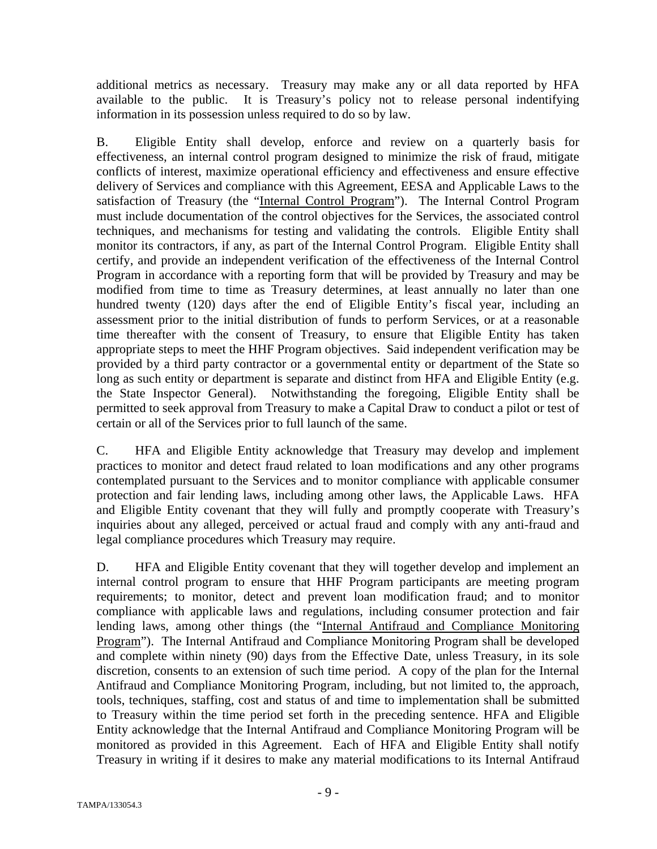additional metrics as necessary. Treasury may make any or all data reported by HFA available to the public. It is Treasury's policy not to release personal indentifying information in its possession unless required to do so by law.

B. Eligible Entity shall develop, enforce and review on a quarterly basis for effectiveness, an internal control program designed to minimize the risk of fraud, mitigate conflicts of interest, maximize operational efficiency and effectiveness and ensure effective delivery of Services and compliance with this Agreement, EESA and Applicable Laws to the satisfaction of Treasury (the "Internal Control Program"). The Internal Control Program must include documentation of the control objectives for the Services, the associated control techniques, and mechanisms for testing and validating the controls. Eligible Entity shall monitor its contractors, if any, as part of the Internal Control Program. Eligible Entity shall certify, and provide an independent verification of the effectiveness of the Internal Control Program in accordance with a reporting form that will be provided by Treasury and may be modified from time to time as Treasury determines, at least annually no later than one hundred twenty (120) days after the end of Eligible Entity's fiscal year, including an assessment prior to the initial distribution of funds to perform Services, or at a reasonable time thereafter with the consent of Treasury, to ensure that Eligible Entity has taken appropriate steps to meet the HHF Program objectives. Said independent verification may be provided by a third party contractor or a governmental entity or department of the State so long as such entity or department is separate and distinct from HFA and Eligible Entity (e.g. the State Inspector General). Notwithstanding the foregoing, Eligible Entity shall be permitted to seek approval from Treasury to make a Capital Draw to conduct a pilot or test of certain or all of the Services prior to full launch of the same.

C. HFA and Eligible Entity acknowledge that Treasury may develop and implement practices to monitor and detect fraud related to loan modifications and any other programs contemplated pursuant to the Services and to monitor compliance with applicable consumer protection and fair lending laws, including among other laws, the Applicable Laws. HFA and Eligible Entity covenant that they will fully and promptly cooperate with Treasury's inquiries about any alleged, perceived or actual fraud and comply with any anti-fraud and legal compliance procedures which Treasury may require.

D. HFA and Eligible Entity covenant that they will together develop and implement an internal control program to ensure that HHF Program participants are meeting program requirements; to monitor, detect and prevent loan modification fraud; and to monitor compliance with applicable laws and regulations, including consumer protection and fair lending laws, among other things (the "Internal Antifraud and Compliance Monitoring Program"). The Internal Antifraud and Compliance Monitoring Program shall be developed and complete within ninety (90) days from the Effective Date, unless Treasury, in its sole discretion, consents to an extension of such time period. A copy of the plan for the Internal Antifraud and Compliance Monitoring Program, including, but not limited to, the approach, tools, techniques, staffing, cost and status of and time to implementation shall be submitted to Treasury within the time period set forth in the preceding sentence. HFA and Eligible Entity acknowledge that the Internal Antifraud and Compliance Monitoring Program will be monitored as provided in this Agreement. Each of HFA and Eligible Entity shall notify Treasury in writing if it desires to make any material modifications to its Internal Antifraud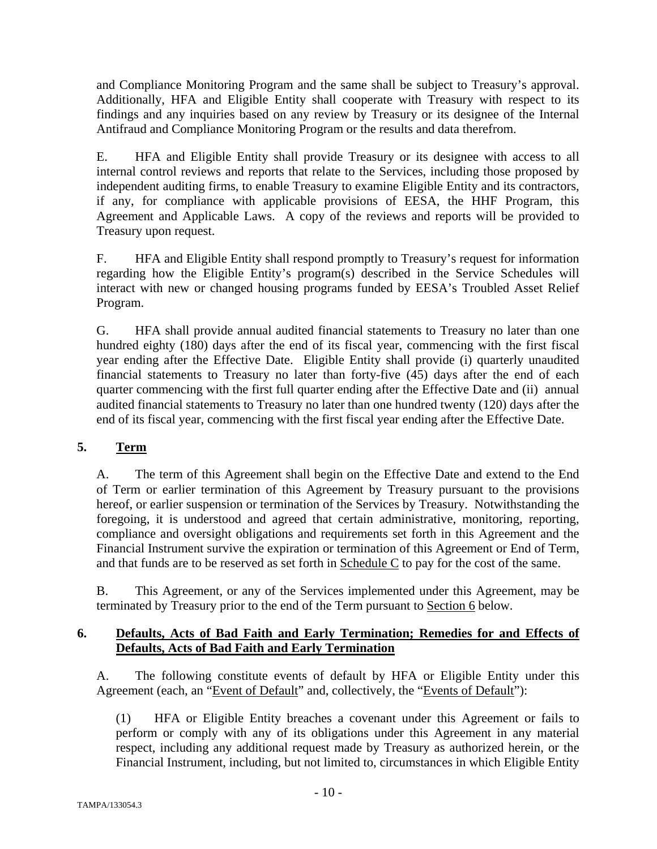and Compliance Monitoring Program and the same shall be subject to Treasury's approval. Additionally, HFA and Eligible Entity shall cooperate with Treasury with respect to its findings and any inquiries based on any review by Treasury or its designee of the Internal Antifraud and Compliance Monitoring Program or the results and data therefrom.

E. HFA and Eligible Entity shall provide Treasury or its designee with access to all internal control reviews and reports that relate to the Services, including those proposed by independent auditing firms, to enable Treasury to examine Eligible Entity and its contractors, if any, for compliance with applicable provisions of EESA, the HHF Program, this Agreement and Applicable Laws. A copy of the reviews and reports will be provided to Treasury upon request.

F. HFA and Eligible Entity shall respond promptly to Treasury's request for information regarding how the Eligible Entity's program(s) described in the Service Schedules will interact with new or changed housing programs funded by EESA's Troubled Asset Relief Program.

G. HFA shall provide annual audited financial statements to Treasury no later than one hundred eighty (180) days after the end of its fiscal year, commencing with the first fiscal year ending after the Effective Date. Eligible Entity shall provide (i) quarterly unaudited financial statements to Treasury no later than forty-five (45) days after the end of each quarter commencing with the first full quarter ending after the Effective Date and (ii) annual audited financial statements to Treasury no later than one hundred twenty (120) days after the end of its fiscal year, commencing with the first fiscal year ending after the Effective Date.

#### **5. Term**

A. The term of this Agreement shall begin on the Effective Date and extend to the End of Term or earlier termination of this Agreement by Treasury pursuant to the provisions hereof, or earlier suspension or termination of the Services by Treasury. Notwithstanding the foregoing, it is understood and agreed that certain administrative, monitoring, reporting, compliance and oversight obligations and requirements set forth in this Agreement and the Financial Instrument survive the expiration or termination of this Agreement or End of Term, and that funds are to be reserved as set forth in Schedule C to pay for the cost of the same.

B. This Agreement, or any of the Services implemented under this Agreement, may be terminated by Treasury prior to the end of the Term pursuant to Section 6 below.

#### **6. Defaults, Acts of Bad Faith and Early Termination; Remedies for and Effects of Defaults, Acts of Bad Faith and Early Termination**

A. The following constitute events of default by HFA or Eligible Entity under this Agreement (each, an "Event of Default" and, collectively, the "Events of Default"):

(1) HFA or Eligible Entity breaches a covenant under this Agreement or fails to perform or comply with any of its obligations under this Agreement in any material respect, including any additional request made by Treasury as authorized herein, or the Financial Instrument, including, but not limited to, circumstances in which Eligible Entity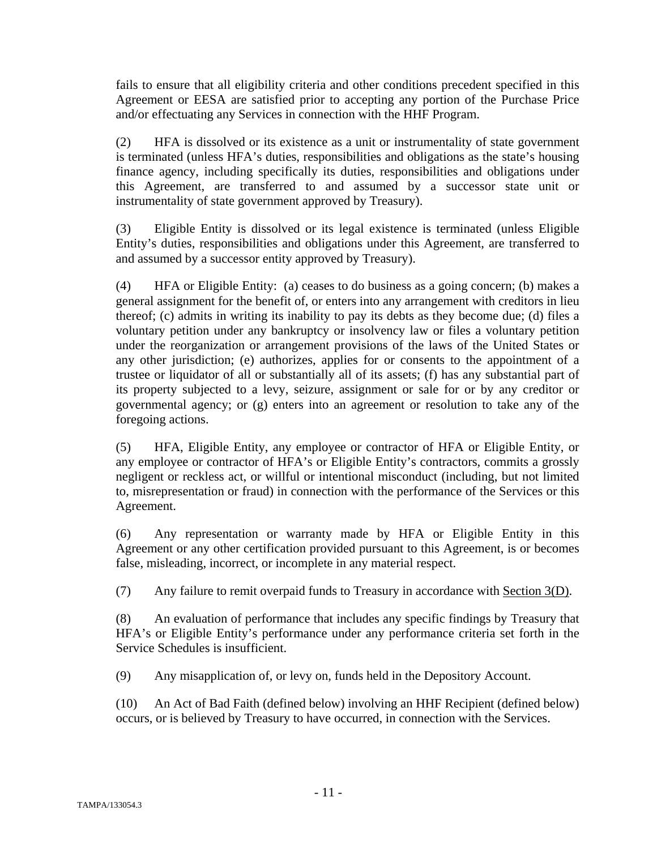fails to ensure that all eligibility criteria and other conditions precedent specified in this Agreement or EESA are satisfied prior to accepting any portion of the Purchase Price and/or effectuating any Services in connection with the HHF Program.

(2) HFA is dissolved or its existence as a unit or instrumentality of state government is terminated (unless HFA's duties, responsibilities and obligations as the state's housing finance agency, including specifically its duties, responsibilities and obligations under this Agreement, are transferred to and assumed by a successor state unit or instrumentality of state government approved by Treasury).

(3) Eligible Entity is dissolved or its legal existence is terminated (unless Eligible Entity's duties, responsibilities and obligations under this Agreement, are transferred to and assumed by a successor entity approved by Treasury).

(4) HFA or Eligible Entity: (a) ceases to do business as a going concern; (b) makes a general assignment for the benefit of, or enters into any arrangement with creditors in lieu thereof; (c) admits in writing its inability to pay its debts as they become due; (d) files a voluntary petition under any bankruptcy or insolvency law or files a voluntary petition under the reorganization or arrangement provisions of the laws of the United States or any other jurisdiction; (e) authorizes, applies for or consents to the appointment of a trustee or liquidator of all or substantially all of its assets; (f) has any substantial part of its property subjected to a levy, seizure, assignment or sale for or by any creditor or governmental agency; or (g) enters into an agreement or resolution to take any of the foregoing actions.

(5) HFA, Eligible Entity, any employee or contractor of HFA or Eligible Entity, or any employee or contractor of HFA's or Eligible Entity's contractors, commits a grossly negligent or reckless act, or willful or intentional misconduct (including, but not limited to, misrepresentation or fraud) in connection with the performance of the Services or this Agreement.

(6) Any representation or warranty made by HFA or Eligible Entity in this Agreement or any other certification provided pursuant to this Agreement, is or becomes false, misleading, incorrect, or incomplete in any material respect.

(7) Any failure to remit overpaid funds to Treasury in accordance with Section 3(D).

(8) An evaluation of performance that includes any specific findings by Treasury that HFA's or Eligible Entity's performance under any performance criteria set forth in the Service Schedules is insufficient.

(9) Any misapplication of, or levy on, funds held in the Depository Account.

(10) An Act of Bad Faith (defined below) involving an HHF Recipient (defined below) occurs, or is believed by Treasury to have occurred, in connection with the Services.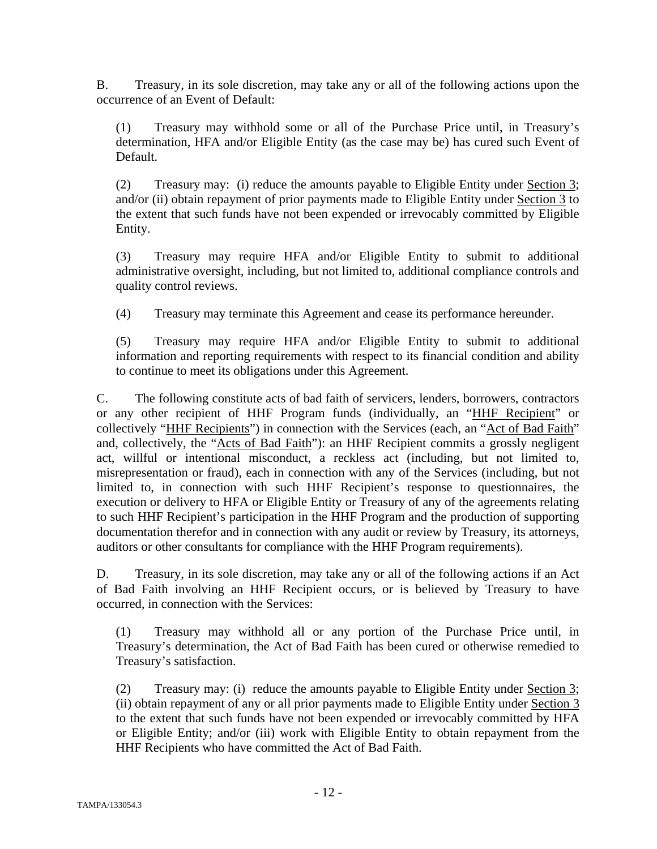B. Treasury, in its sole discretion, may take any or all of the following actions upon the occurrence of an Event of Default:

(1) Treasury may withhold some or all of the Purchase Price until, in Treasury's determination, HFA and/or Eligible Entity (as the case may be) has cured such Event of Default.

(2) Treasury may: (i) reduce the amounts payable to Eligible Entity under Section 3; and/or (ii) obtain repayment of prior payments made to Eligible Entity under Section 3 to the extent that such funds have not been expended or irrevocably committed by Eligible Entity.

(3) Treasury may require HFA and/or Eligible Entity to submit to additional administrative oversight, including, but not limited to, additional compliance controls and quality control reviews.

(4) Treasury may terminate this Agreement and cease its performance hereunder.

(5) Treasury may require HFA and/or Eligible Entity to submit to additional information and reporting requirements with respect to its financial condition and ability to continue to meet its obligations under this Agreement.

C. The following constitute acts of bad faith of servicers, lenders, borrowers, contractors or any other recipient of HHF Program funds (individually, an "HHF Recipient" or collectively "HHF Recipients") in connection with the Services (each, an "Act of Bad Faith" and, collectively, the "Acts of Bad Faith"): an HHF Recipient commits a grossly negligent act, willful or intentional misconduct, a reckless act (including, but not limited to, misrepresentation or fraud), each in connection with any of the Services (including, but not limited to, in connection with such HHF Recipient's response to questionnaires, the execution or delivery to HFA or Eligible Entity or Treasury of any of the agreements relating to such HHF Recipient's participation in the HHF Program and the production of supporting documentation therefor and in connection with any audit or review by Treasury, its attorneys, auditors or other consultants for compliance with the HHF Program requirements).

D. Treasury, in its sole discretion, may take any or all of the following actions if an Act of Bad Faith involving an HHF Recipient occurs, or is believed by Treasury to have occurred, in connection with the Services:

(1) Treasury may withhold all or any portion of the Purchase Price until, in Treasury's determination, the Act of Bad Faith has been cured or otherwise remedied to Treasury's satisfaction.

(2) Treasury may: (i) reduce the amounts payable to Eligible Entity under Section 3; (ii) obtain repayment of any or all prior payments made to Eligible Entity under Section 3 to the extent that such funds have not been expended or irrevocably committed by HFA or Eligible Entity; and/or (iii) work with Eligible Entity to obtain repayment from the HHF Recipients who have committed the Act of Bad Faith.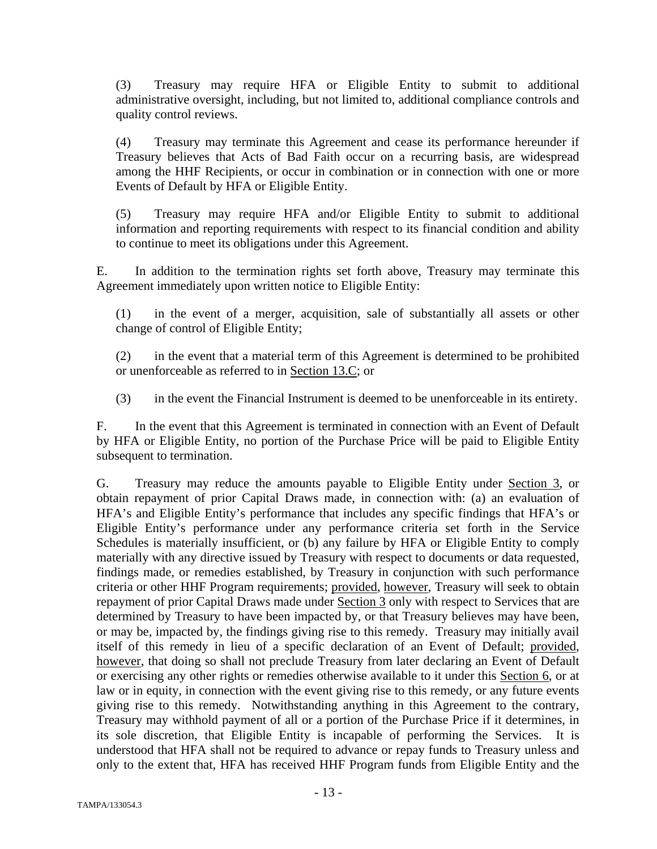(3) Treasury may require HFA or Eligible Entity to submit to additional administrative oversight, including, but not limited to, additional compliance controls and quality control reviews.

(4) Treasury may terminate this Agreement and cease its performance hereunder if Treasury believes that Acts of Bad Faith occur on a recurring basis, are widespread among the HHF Recipients, or occur in combination or in connection with one or more Events of Default by HFA or Eligible Entity.

(5) Treasury may require HFA and/or Eligible Entity to submit to additional information and reporting requirements with respect to its financial condition and ability to continue to meet its obligations under this Agreement.

E. In addition to the termination rights set forth above, Treasury may terminate this Agreement immediately upon written notice to Eligible Entity:

(1) in the event of a merger, acquisition, sale of substantially all assets or other change of control of Eligible Entity;

(2) in the event that a material term of this Agreement is determined to be prohibited or unenforceable as referred to in Section 13.C; or

(3) in the event the Financial Instrument is deemed to be unenforceable in its entirety.

F. In the event that this Agreement is terminated in connection with an Event of Default by HFA or Eligible Entity, no portion of the Purchase Price will be paid to Eligible Entity subsequent to termination.

G. Treasury may reduce the amounts payable to Eligible Entity under Section 3, or obtain repayment of prior Capital Draws made, in connection with: (a) an evaluation of HFA's and Eligible Entity's performance that includes any specific findings that HFA's or Eligible Entity's performance under any performance criteria set forth in the Service Schedules is materially insufficient, or (b) any failure by HFA or Eligible Entity to comply materially with any directive issued by Treasury with respect to documents or data requested, findings made, or remedies established, by Treasury in conjunction with such performance criteria or other HHF Program requirements; provided, however, Treasury will seek to obtain repayment of prior Capital Draws made under Section 3 only with respect to Services that are determined by Treasury to have been impacted by, or that Treasury believes may have been, or may be, impacted by, the findings giving rise to this remedy. Treasury may initially avail itself of this remedy in lieu of a specific declaration of an Event of Default; provided, however, that doing so shall not preclude Treasury from later declaring an Event of Default or exercising any other rights or remedies otherwise available to it under this Section 6, or at law or in equity, in connection with the event giving rise to this remedy, or any future events giving rise to this remedy. Notwithstanding anything in this Agreement to the contrary, Treasury may withhold payment of all or a portion of the Purchase Price if it determines, in its sole discretion, that Eligible Entity is incapable of performing the Services. It is understood that HFA shall not be required to advance or repay funds to Treasury unless and only to the extent that, HFA has received HHF Program funds from Eligible Entity and the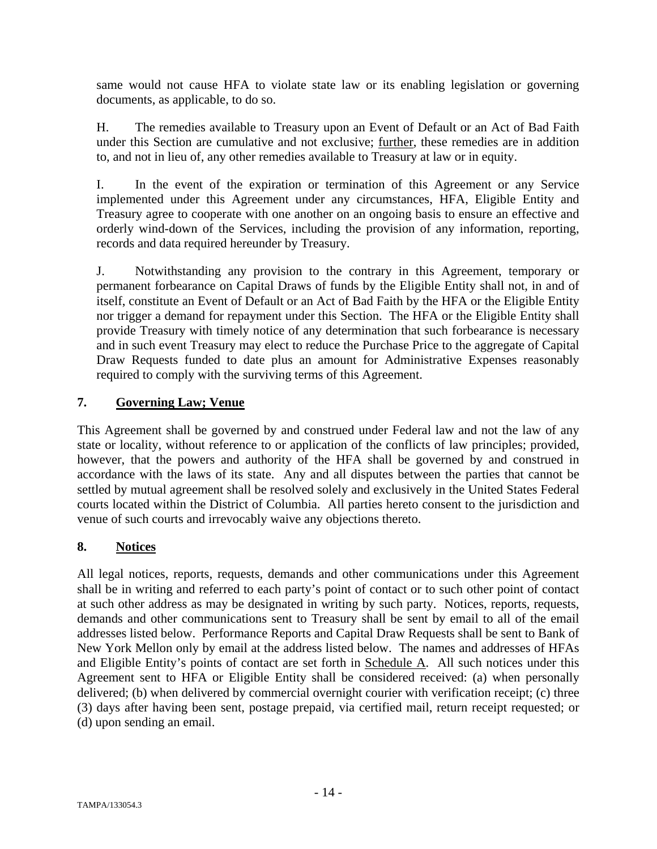same would not cause HFA to violate state law or its enabling legislation or governing documents, as applicable, to do so.

H. The remedies available to Treasury upon an Event of Default or an Act of Bad Faith under this Section are cumulative and not exclusive; further, these remedies are in addition to, and not in lieu of, any other remedies available to Treasury at law or in equity.

I. In the event of the expiration or termination of this Agreement or any Service implemented under this Agreement under any circumstances, HFA, Eligible Entity and Treasury agree to cooperate with one another on an ongoing basis to ensure an effective and orderly wind-down of the Services, including the provision of any information, reporting, records and data required hereunder by Treasury.

J. Notwithstanding any provision to the contrary in this Agreement, temporary or permanent forbearance on Capital Draws of funds by the Eligible Entity shall not, in and of itself, constitute an Event of Default or an Act of Bad Faith by the HFA or the Eligible Entity nor trigger a demand for repayment under this Section. The HFA or the Eligible Entity shall provide Treasury with timely notice of any determination that such forbearance is necessary and in such event Treasury may elect to reduce the Purchase Price to the aggregate of Capital Draw Requests funded to date plus an amount for Administrative Expenses reasonably required to comply with the surviving terms of this Agreement.

#### **7. Governing Law; Venue**

This Agreement shall be governed by and construed under Federal law and not the law of any state or locality, without reference to or application of the conflicts of law principles; provided, however, that the powers and authority of the HFA shall be governed by and construed in accordance with the laws of its state. Any and all disputes between the parties that cannot be settled by mutual agreement shall be resolved solely and exclusively in the United States Federal courts located within the District of Columbia. All parties hereto consent to the jurisdiction and venue of such courts and irrevocably waive any objections thereto.

#### **8. Notices**

All legal notices, reports, requests, demands and other communications under this Agreement shall be in writing and referred to each party's point of contact or to such other point of contact at such other address as may be designated in writing by such party. Notices, reports, requests, demands and other communications sent to Treasury shall be sent by email to all of the email addresses listed below. Performance Reports and Capital Draw Requests shall be sent to Bank of New York Mellon only by email at the address listed below. The names and addresses of HFAs and Eligible Entity's points of contact are set forth in Schedule A. All such notices under this Agreement sent to HFA or Eligible Entity shall be considered received: (a) when personally delivered; (b) when delivered by commercial overnight courier with verification receipt; (c) three (3) days after having been sent, postage prepaid, via certified mail, return receipt requested; or (d) upon sending an email.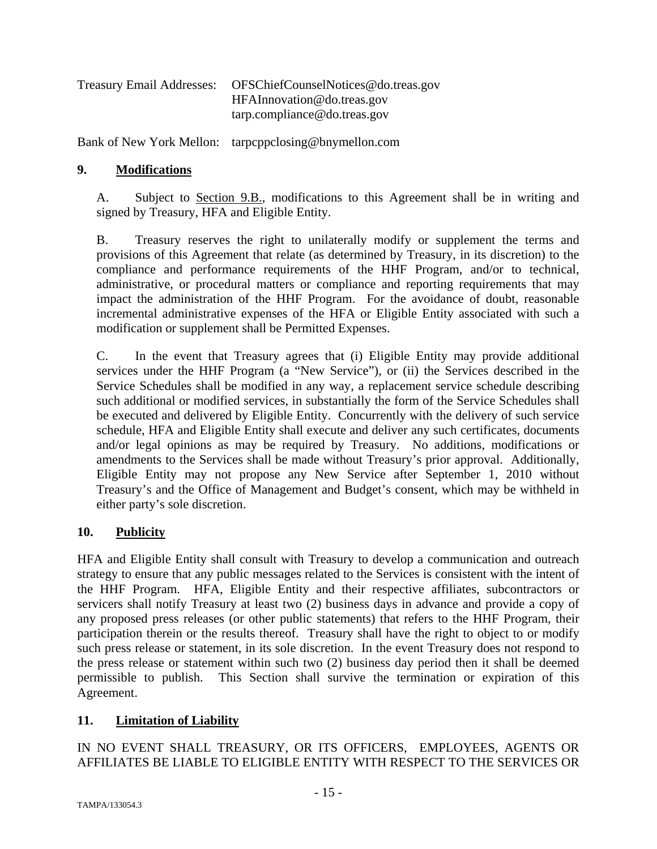| OFSChiefCounselNotices@do.treas.gov |
|-------------------------------------|
| HFAInnovation@do.treas.gov          |
| tarp.compline@do.treas.gov          |
|                                     |

Bank of New York Mellon: tarpcppclosing@bnymellon.com

#### **9. Modifications**

A. Subject to Section 9.B., modifications to this Agreement shall be in writing and signed by Treasury, HFA and Eligible Entity.

B. Treasury reserves the right to unilaterally modify or supplement the terms and provisions of this Agreement that relate (as determined by Treasury, in its discretion) to the compliance and performance requirements of the HHF Program, and/or to technical, administrative, or procedural matters or compliance and reporting requirements that may impact the administration of the HHF Program. For the avoidance of doubt, reasonable incremental administrative expenses of the HFA or Eligible Entity associated with such a modification or supplement shall be Permitted Expenses.

C. In the event that Treasury agrees that (i) Eligible Entity may provide additional services under the HHF Program (a "New Service"), or (ii) the Services described in the Service Schedules shall be modified in any way, a replacement service schedule describing such additional or modified services, in substantially the form of the Service Schedules shall be executed and delivered by Eligible Entity. Concurrently with the delivery of such service schedule, HFA and Eligible Entity shall execute and deliver any such certificates, documents and/or legal opinions as may be required by Treasury. No additions, modifications or amendments to the Services shall be made without Treasury's prior approval. Additionally, Eligible Entity may not propose any New Service after September 1, 2010 without Treasury's and the Office of Management and Budget's consent, which may be withheld in either party's sole discretion.

#### **10. Publicity**

HFA and Eligible Entity shall consult with Treasury to develop a communication and outreach strategy to ensure that any public messages related to the Services is consistent with the intent of the HHF Program. HFA, Eligible Entity and their respective affiliates, subcontractors or servicers shall notify Treasury at least two (2) business days in advance and provide a copy of any proposed press releases (or other public statements) that refers to the HHF Program, their participation therein or the results thereof. Treasury shall have the right to object to or modify such press release or statement, in its sole discretion. In the event Treasury does not respond to the press release or statement within such two (2) business day period then it shall be deemed permissible to publish. This Section shall survive the termination or expiration of this Agreement.

#### **11. Limitation of Liability**

IN NO EVENT SHALL TREASURY, OR ITS OFFICERS, EMPLOYEES, AGENTS OR AFFILIATES BE LIABLE TO ELIGIBLE ENTITY WITH RESPECT TO THE SERVICES OR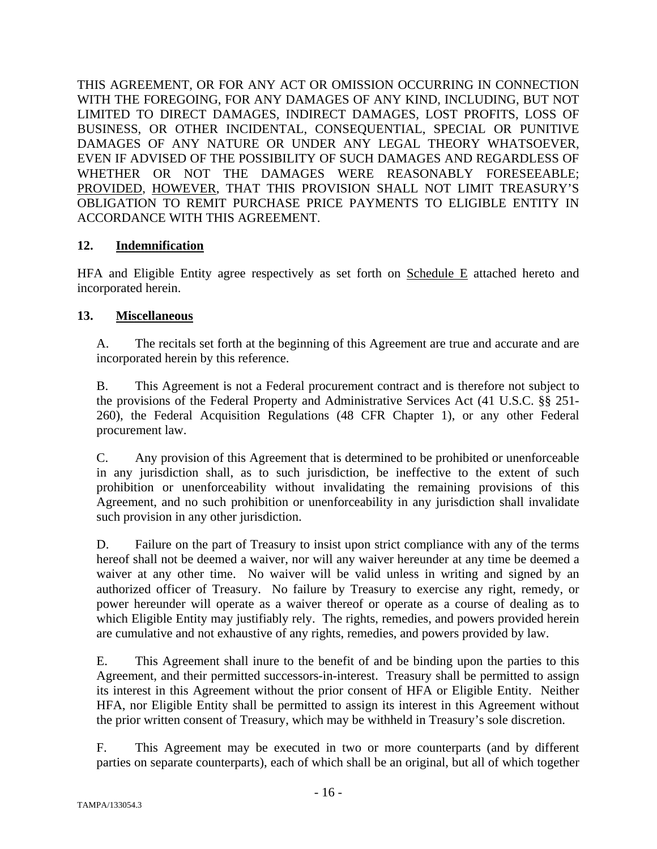THIS AGREEMENT, OR FOR ANY ACT OR OMISSION OCCURRING IN CONNECTION WITH THE FOREGOING, FOR ANY DAMAGES OF ANY KIND, INCLUDING, BUT NOT LIMITED TO DIRECT DAMAGES, INDIRECT DAMAGES, LOST PROFITS, LOSS OF BUSINESS, OR OTHER INCIDENTAL, CONSEQUENTIAL, SPECIAL OR PUNITIVE DAMAGES OF ANY NATURE OR UNDER ANY LEGAL THEORY WHATSOEVER, EVEN IF ADVISED OF THE POSSIBILITY OF SUCH DAMAGES AND REGARDLESS OF WHETHER OR NOT THE DAMAGES WERE REASONABLY FORESEEABLE; PROVIDED, HOWEVER, THAT THIS PROVISION SHALL NOT LIMIT TREASURY'S OBLIGATION TO REMIT PURCHASE PRICE PAYMENTS TO ELIGIBLE ENTITY IN ACCORDANCE WITH THIS AGREEMENT.

#### **12. Indemnification**

HFA and Eligible Entity agree respectively as set forth on Schedule E attached hereto and incorporated herein.

#### **13. Miscellaneous**

A. The recitals set forth at the beginning of this Agreement are true and accurate and are incorporated herein by this reference.

B. This Agreement is not a Federal procurement contract and is therefore not subject to the provisions of the Federal Property and Administrative Services Act (41 U.S.C. §§ 251- 260), the Federal Acquisition Regulations (48 CFR Chapter 1), or any other Federal procurement law.

C. Any provision of this Agreement that is determined to be prohibited or unenforceable in any jurisdiction shall, as to such jurisdiction, be ineffective to the extent of such prohibition or unenforceability without invalidating the remaining provisions of this Agreement, and no such prohibition or unenforceability in any jurisdiction shall invalidate such provision in any other jurisdiction.

D. Failure on the part of Treasury to insist upon strict compliance with any of the terms hereof shall not be deemed a waiver, nor will any waiver hereunder at any time be deemed a waiver at any other time. No waiver will be valid unless in writing and signed by an authorized officer of Treasury. No failure by Treasury to exercise any right, remedy, or power hereunder will operate as a waiver thereof or operate as a course of dealing as to which Eligible Entity may justifiably rely. The rights, remedies, and powers provided herein are cumulative and not exhaustive of any rights, remedies, and powers provided by law.

E. This Agreement shall inure to the benefit of and be binding upon the parties to this Agreement, and their permitted successors-in-interest. Treasury shall be permitted to assign its interest in this Agreement without the prior consent of HFA or Eligible Entity. Neither HFA, nor Eligible Entity shall be permitted to assign its interest in this Agreement without the prior written consent of Treasury, which may be withheld in Treasury's sole discretion.

F. This Agreement may be executed in two or more counterparts (and by different parties on separate counterparts), each of which shall be an original, but all of which together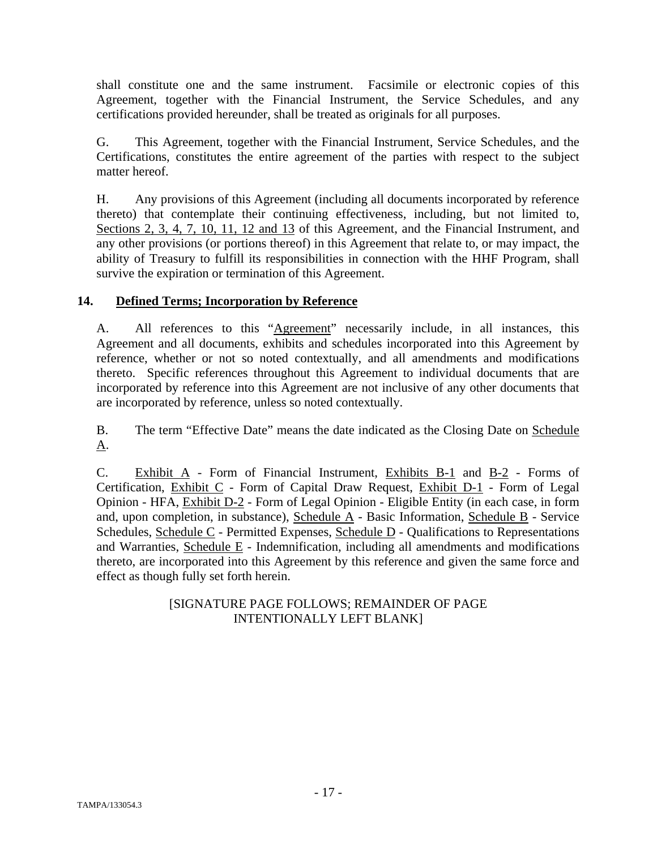shall constitute one and the same instrument. Facsimile or electronic copies of this Agreement, together with the Financial Instrument, the Service Schedules, and any certifications provided hereunder, shall be treated as originals for all purposes.

G. This Agreement, together with the Financial Instrument, Service Schedules, and the Certifications, constitutes the entire agreement of the parties with respect to the subject matter hereof.

H. Any provisions of this Agreement (including all documents incorporated by reference thereto) that contemplate their continuing effectiveness, including, but not limited to, Sections 2, 3, 4, 7, 10, 11, 12 and 13 of this Agreement, and the Financial Instrument, and any other provisions (or portions thereof) in this Agreement that relate to, or may impact, the ability of Treasury to fulfill its responsibilities in connection with the HHF Program, shall survive the expiration or termination of this Agreement.

#### **14. Defined Terms; Incorporation by Reference**

A. All references to this "Agreement" necessarily include, in all instances, this Agreement and all documents, exhibits and schedules incorporated into this Agreement by reference, whether or not so noted contextually, and all amendments and modifications thereto. Specific references throughout this Agreement to individual documents that are incorporated by reference into this Agreement are not inclusive of any other documents that are incorporated by reference, unless so noted contextually.

B. The term "Effective Date" means the date indicated as the Closing Date on Schedule A.

C. Exhibit A - Form of Financial Instrument, Exhibits B-1 and B-2 - Forms of Certification, Exhibit C - Form of Capital Draw Request, Exhibit D-1 - Form of Legal Opinion - HFA, Exhibit D-2 - Form of Legal Opinion - Eligible Entity (in each case, in form and, upon completion, in substance), Schedule A - Basic Information, Schedule B - Service Schedules, Schedule C - Permitted Expenses, Schedule D - Qualifications to Representations and Warranties, Schedule E - Indemnification, including all amendments and modifications thereto, are incorporated into this Agreement by this reference and given the same force and effect as though fully set forth herein.

#### [SIGNATURE PAGE FOLLOWS; REMAINDER OF PAGE INTENTIONALLY LEFT BLANK]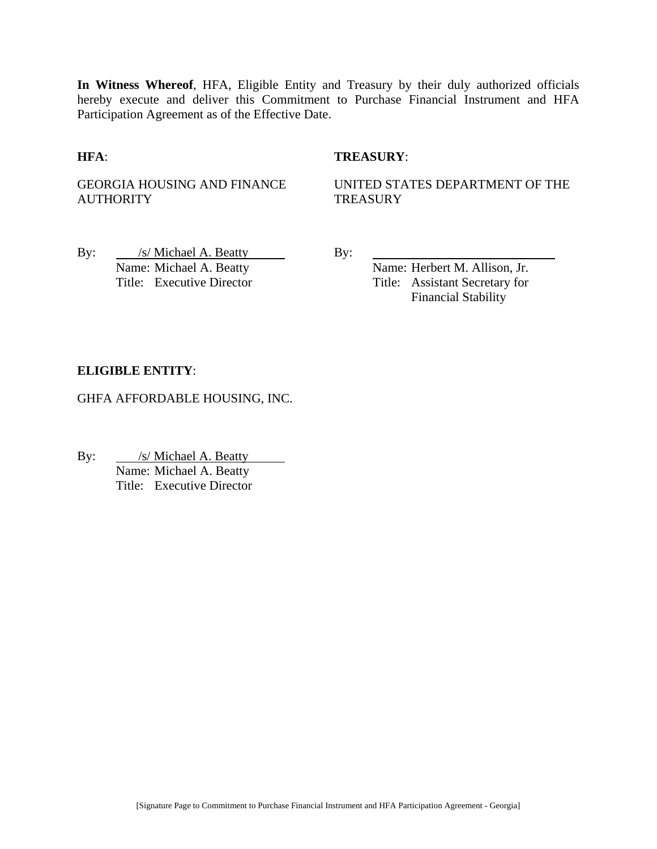**In Witness Whereof**, HFA, Eligible Entity and Treasury by their duly authorized officials hereby execute and deliver this Commitment to Purchase Financial Instrument and HFA Participation Agreement as of the Effective Date.

#### **HFA**: **TREASURY**:

GEORGIA HOUSING AND FINANCE **AUTHORITY** 

UNITED STATES DEPARTMENT OF THE **TREASURY** 

By: /s/ Michael A. Beatty By: Name: Michael A. Beatty Name: Herbert M. Allison, Jr.

Title: Executive Director Title: Assistant Secretary for Financial Stability

#### **ELIGIBLE ENTITY**:

GHFA AFFORDABLE HOUSING, INC.

By: /s/ Michael A. Beatty Name: Michael A. Beatty Title: Executive Director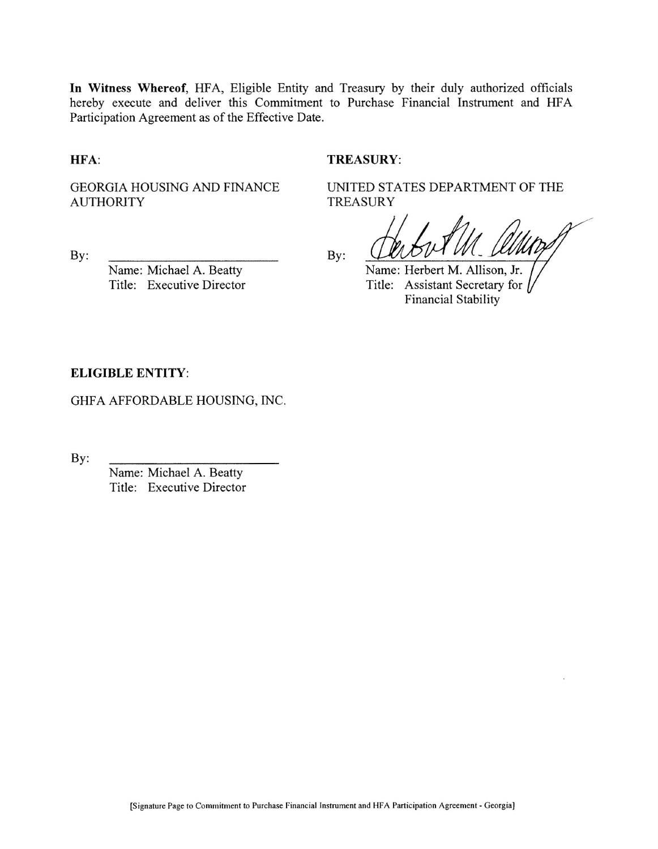In Witness Whereof, HFA, Eligible Entity and Treasury by their duly authorized officials hereby execute and deliver this Commitment to Purchase Financial Instrument and HFA Participation Agreement as of the Effective Date.

HFA:

#### **TREASURY:**

**TREASURY** 

GEORGIA HOUSING AND FINANCE **AUTHORITY** 

 $By:$ 

Name: Michael A. Beatty Title: Executive Director By:

Name: Herbert M. Allison, Jr. Title: Assistant Secretary for **Financial Stability** 

UNITED STATES DEPARTMENT OF THE

#### **ELIGIBLE ENTITY:**

GHFA AFFORDABLE HOUSING, INC.

By:

Name: Michael A. Beatty Title: Executive Director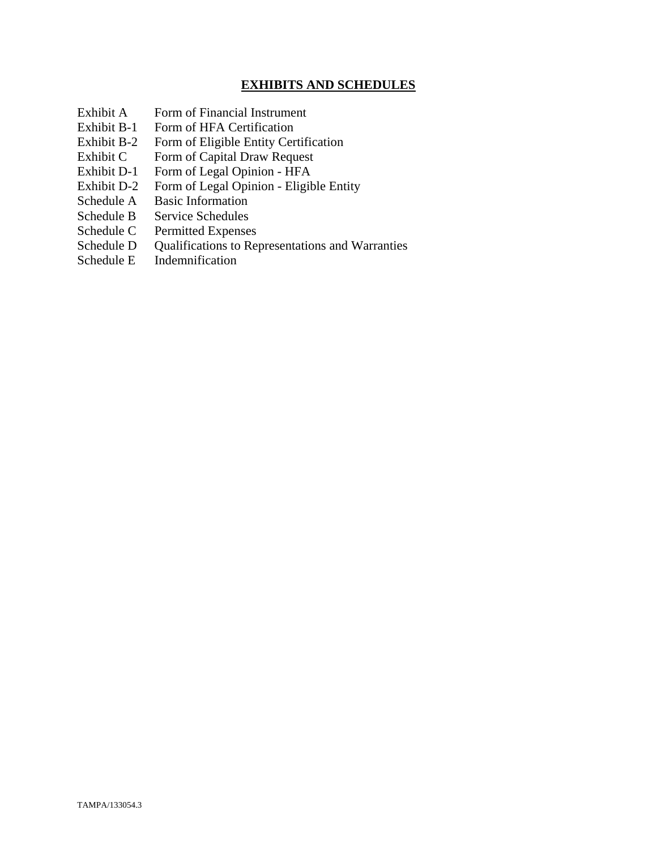#### **EXHIBITS AND SCHEDULES**

- Exhibit A Form of Financial Instrument
- Exhibit B-1 Form of HFA Certification
- Exhibit B-2 Form of Eligible Entity Certification
- Exhibit C Form of Capital Draw Request
- Exhibit D-1 Form of Legal Opinion HFA
- Exhibit D-2 Form of Legal Opinion Eligible Entity
- Schedule A Basic Information
- Schedule B Service Schedules
- Schedule C Permitted Expenses
- Schedule D Qualifications to Representations and Warranties
- Schedule E Indemnification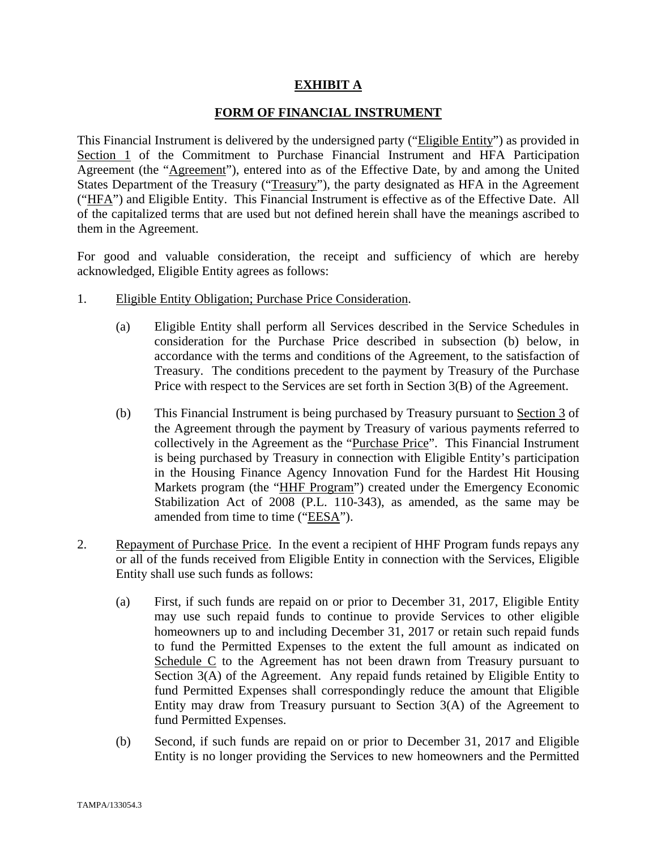#### **EXHIBIT A**

#### **FORM OF FINANCIAL INSTRUMENT**

This Financial Instrument is delivered by the undersigned party ("Eligible Entity") as provided in Section 1 of the Commitment to Purchase Financial Instrument and HFA Participation Agreement (the "Agreement"), entered into as of the Effective Date, by and among the United States Department of the Treasury ("Treasury"), the party designated as HFA in the Agreement ("HFA") and Eligible Entity. This Financial Instrument is effective as of the Effective Date. All of the capitalized terms that are used but not defined herein shall have the meanings ascribed to them in the Agreement.

For good and valuable consideration, the receipt and sufficiency of which are hereby acknowledged, Eligible Entity agrees as follows:

- 1. Eligible Entity Obligation; Purchase Price Consideration.
	- (a) Eligible Entity shall perform all Services described in the Service Schedules in consideration for the Purchase Price described in subsection (b) below, in accordance with the terms and conditions of the Agreement, to the satisfaction of Treasury. The conditions precedent to the payment by Treasury of the Purchase Price with respect to the Services are set forth in Section 3(B) of the Agreement.
	- (b) This Financial Instrument is being purchased by Treasury pursuant to Section 3 of the Agreement through the payment by Treasury of various payments referred to collectively in the Agreement as the "Purchase Price". This Financial Instrument is being purchased by Treasury in connection with Eligible Entity's participation in the Housing Finance Agency Innovation Fund for the Hardest Hit Housing Markets program (the "HHF Program") created under the Emergency Economic Stabilization Act of 2008 (P.L. 110-343), as amended, as the same may be amended from time to time ("EESA").
- 2. Repayment of Purchase Price. In the event a recipient of HHF Program funds repays any or all of the funds received from Eligible Entity in connection with the Services, Eligible Entity shall use such funds as follows:
	- (a) First, if such funds are repaid on or prior to December 31, 2017, Eligible Entity may use such repaid funds to continue to provide Services to other eligible homeowners up to and including December 31, 2017 or retain such repaid funds to fund the Permitted Expenses to the extent the full amount as indicated on Schedule C to the Agreement has not been drawn from Treasury pursuant to Section 3(A) of the Agreement. Any repaid funds retained by Eligible Entity to fund Permitted Expenses shall correspondingly reduce the amount that Eligible Entity may draw from Treasury pursuant to Section 3(A) of the Agreement to fund Permitted Expenses.
	- (b) Second, if such funds are repaid on or prior to December 31, 2017 and Eligible Entity is no longer providing the Services to new homeowners and the Permitted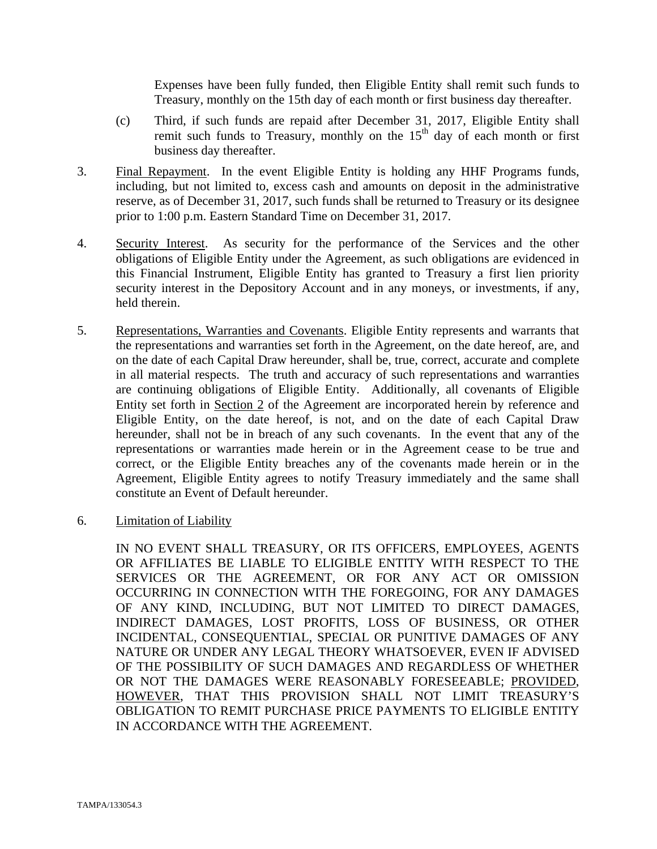Expenses have been fully funded, then Eligible Entity shall remit such funds to Treasury, monthly on the 15th day of each month or first business day thereafter.

- (c) Third, if such funds are repaid after December 31, 2017, Eligible Entity shall remit such funds to Treasury, monthly on the  $15<sup>th</sup>$  day of each month or first business day thereafter.
- 3. Final Repayment. In the event Eligible Entity is holding any HHF Programs funds, including, but not limited to, excess cash and amounts on deposit in the administrative reserve, as of December 31, 2017, such funds shall be returned to Treasury or its designee prior to 1:00 p.m. Eastern Standard Time on December 31, 2017.
- 4. Security Interest. As security for the performance of the Services and the other obligations of Eligible Entity under the Agreement, as such obligations are evidenced in this Financial Instrument, Eligible Entity has granted to Treasury a first lien priority security interest in the Depository Account and in any moneys, or investments, if any, held therein.
- 5. Representations, Warranties and Covenants. Eligible Entity represents and warrants that the representations and warranties set forth in the Agreement, on the date hereof, are, and on the date of each Capital Draw hereunder, shall be, true, correct, accurate and complete in all material respects. The truth and accuracy of such representations and warranties are continuing obligations of Eligible Entity. Additionally, all covenants of Eligible Entity set forth in Section 2 of the Agreement are incorporated herein by reference and Eligible Entity, on the date hereof, is not, and on the date of each Capital Draw hereunder, shall not be in breach of any such covenants. In the event that any of the representations or warranties made herein or in the Agreement cease to be true and correct, or the Eligible Entity breaches any of the covenants made herein or in the Agreement, Eligible Entity agrees to notify Treasury immediately and the same shall constitute an Event of Default hereunder.
- 6. Limitation of Liability

IN NO EVENT SHALL TREASURY, OR ITS OFFICERS, EMPLOYEES, AGENTS OR AFFILIATES BE LIABLE TO ELIGIBLE ENTITY WITH RESPECT TO THE SERVICES OR THE AGREEMENT, OR FOR ANY ACT OR OMISSION OCCURRING IN CONNECTION WITH THE FOREGOING, FOR ANY DAMAGES OF ANY KIND, INCLUDING, BUT NOT LIMITED TO DIRECT DAMAGES, INDIRECT DAMAGES, LOST PROFITS, LOSS OF BUSINESS, OR OTHER INCIDENTAL, CONSEQUENTIAL, SPECIAL OR PUNITIVE DAMAGES OF ANY NATURE OR UNDER ANY LEGAL THEORY WHATSOEVER, EVEN IF ADVISED OF THE POSSIBILITY OF SUCH DAMAGES AND REGARDLESS OF WHETHER OR NOT THE DAMAGES WERE REASONABLY FORESEEABLE; PROVIDED, HOWEVER, THAT THIS PROVISION SHALL NOT LIMIT TREASURY'S OBLIGATION TO REMIT PURCHASE PRICE PAYMENTS TO ELIGIBLE ENTITY IN ACCORDANCE WITH THE AGREEMENT.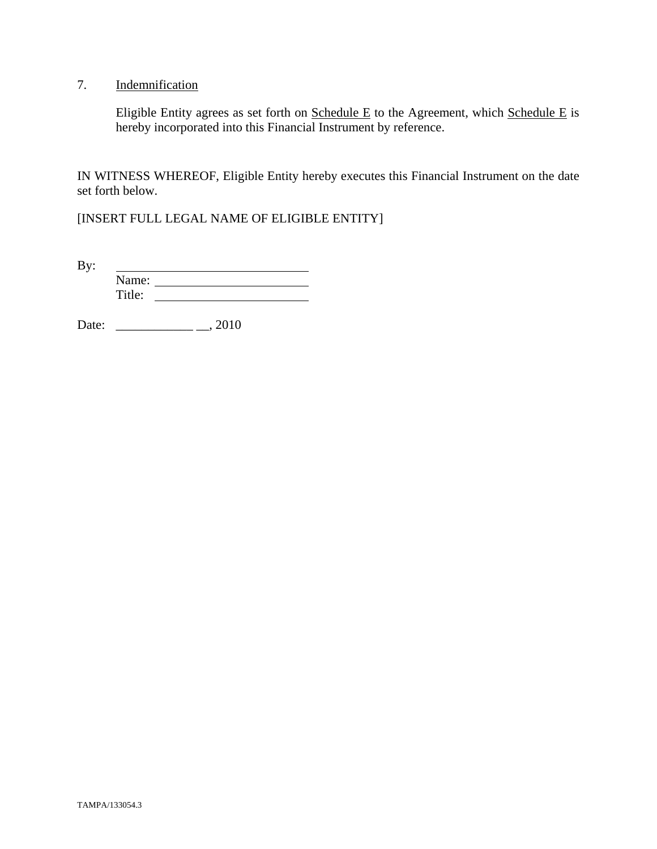#### 7. Indemnification

Eligible Entity agrees as set forth on  $S$ chedule E to the Agreement, which  $S$ chedule E is hereby incorporated into this Financial Instrument by reference.

IN WITNESS WHEREOF, Eligible Entity hereby executes this Financial Instrument on the date set forth below.

[INSERT FULL LEGAL NAME OF ELIGIBLE ENTITY]

By: <u> 1989 - Johann Barbara, martin a</u> Name: Title:

Date: \_\_\_\_\_\_\_\_\_\_\_\_ \_\_, 2010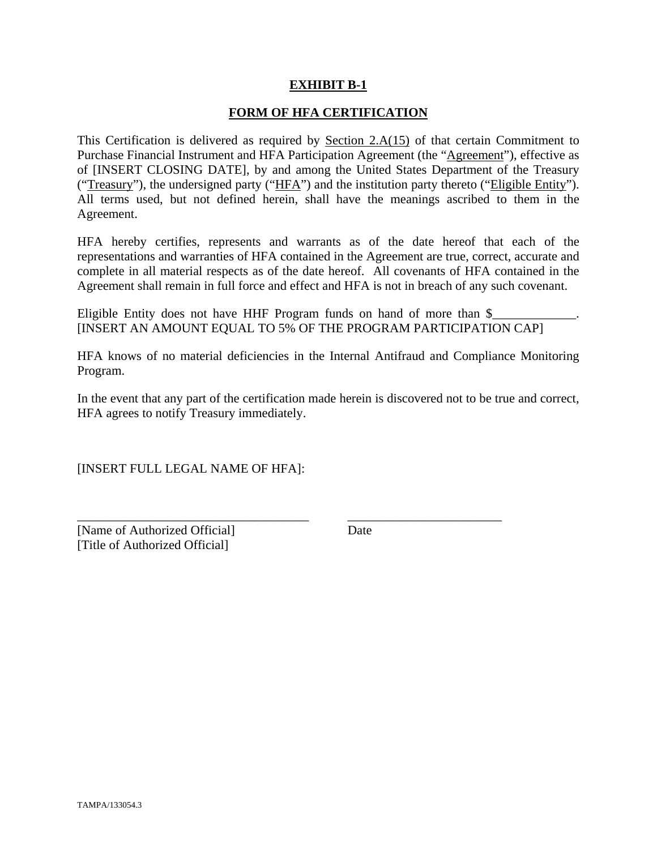#### **EXHIBIT B-1**

#### **FORM OF HFA CERTIFICATION**

This Certification is delivered as required by Section  $2.A(15)$  of that certain Commitment to Purchase Financial Instrument and HFA Participation Agreement (the "Agreement"), effective as of [INSERT CLOSING DATE], by and among the United States Department of the Treasury ("Treasury"), the undersigned party ("HFA") and the institution party thereto ("Eligible Entity"). All terms used, but not defined herein, shall have the meanings ascribed to them in the Agreement.

HFA hereby certifies, represents and warrants as of the date hereof that each of the representations and warranties of HFA contained in the Agreement are true, correct, accurate and complete in all material respects as of the date hereof. All covenants of HFA contained in the Agreement shall remain in full force and effect and HFA is not in breach of any such covenant.

Eligible Entity does not have HHF Program funds on hand of more than  $\frac{1}{2}$ [INSERT AN AMOUNT EQUAL TO 5% OF THE PROGRAM PARTICIPATION CAP]

HFA knows of no material deficiencies in the Internal Antifraud and Compliance Monitoring Program.

In the event that any part of the certification made herein is discovered not to be true and correct, HFA agrees to notify Treasury immediately.

\_\_\_\_\_\_\_\_\_\_\_\_\_\_\_\_\_\_\_\_\_\_\_\_\_\_\_\_\_\_\_\_\_\_\_\_ \_\_\_\_\_\_\_\_\_\_\_\_\_\_\_\_\_\_\_\_\_\_\_\_

[INSERT FULL LEGAL NAME OF HFA]:

[Name of Authorized Official] Date [Title of Authorized Official]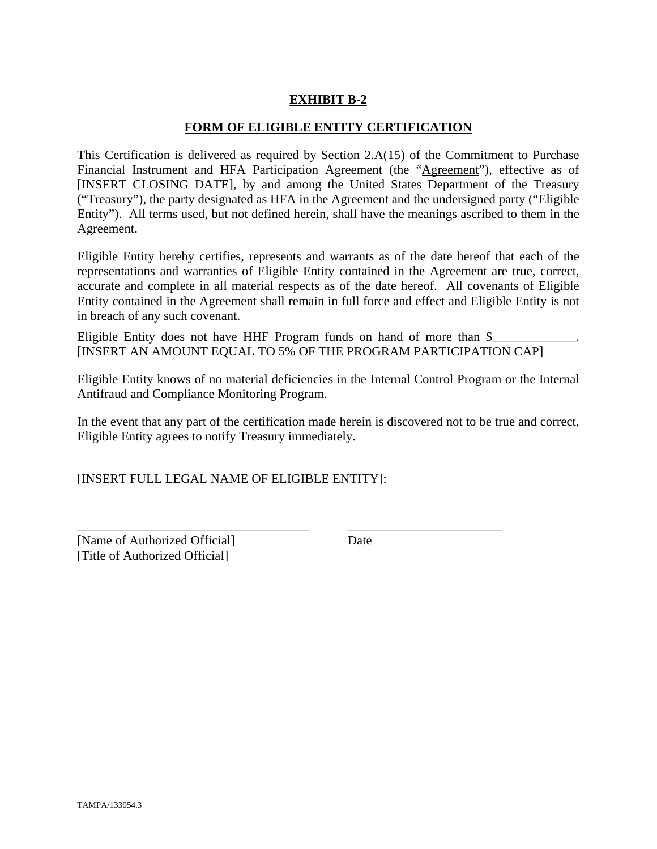#### **EXHIBIT B-2**

#### **FORM OF ELIGIBLE ENTITY CERTIFICATION**

This Certification is delivered as required by Section 2.A(15) of the Commitment to Purchase Financial Instrument and HFA Participation Agreement (the "Agreement"), effective as of [INSERT CLOSING DATE], by and among the United States Department of the Treasury ("Treasury"), the party designated as HFA in the Agreement and the undersigned party ("Eligible Entity"). All terms used, but not defined herein, shall have the meanings ascribed to them in the Agreement.

Eligible Entity hereby certifies, represents and warrants as of the date hereof that each of the representations and warranties of Eligible Entity contained in the Agreement are true, correct, accurate and complete in all material respects as of the date hereof. All covenants of Eligible Entity contained in the Agreement shall remain in full force and effect and Eligible Entity is not in breach of any such covenant.

Eligible Entity does not have HHF Program funds on hand of more than  $\$ [INSERT AN AMOUNT EQUAL TO 5% OF THE PROGRAM PARTICIPATION CAP]

Eligible Entity knows of no material deficiencies in the Internal Control Program or the Internal Antifraud and Compliance Monitoring Program.

In the event that any part of the certification made herein is discovered not to be true and correct, Eligible Entity agrees to notify Treasury immediately.

\_\_\_\_\_\_\_\_\_\_\_\_\_\_\_\_\_\_\_\_\_\_\_\_\_\_\_\_\_\_\_\_\_\_\_\_ \_\_\_\_\_\_\_\_\_\_\_\_\_\_\_\_\_\_\_\_\_\_\_\_

[INSERT FULL LEGAL NAME OF ELIGIBLE ENTITY]:

[Name of Authorized Official] Date [Title of Authorized Official]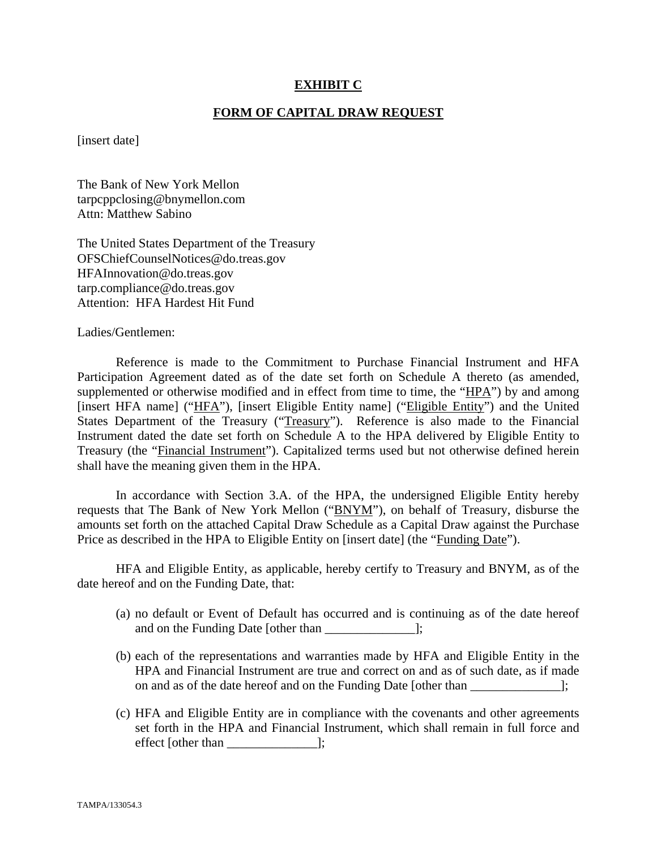#### **EXHIBIT C**

#### **FORM OF CAPITAL DRAW REQUEST**

[insert date]

The Bank of New York Mellon tarpcppclosing@bnymellon.com Attn: Matthew Sabino

The United States Department of the Treasury OFSChiefCounselNotices@do.treas.gov HFAInnovation@do.treas.gov tarp.compliance@do.treas.gov Attention: HFA Hardest Hit Fund

Ladies/Gentlemen:

 Reference is made to the Commitment to Purchase Financial Instrument and HFA Participation Agreement dated as of the date set forth on Schedule A thereto (as amended, supplemented or otherwise modified and in effect from time to time, the "HPA") by and among [insert HFA name] ("HFA"), [insert Eligible Entity name] ("Eligible Entity") and the United States Department of the Treasury ("Treasury"). Reference is also made to the Financial Instrument dated the date set forth on Schedule A to the HPA delivered by Eligible Entity to Treasury (the "Financial Instrument"). Capitalized terms used but not otherwise defined herein shall have the meaning given them in the HPA.

 In accordance with Section 3.A. of the HPA, the undersigned Eligible Entity hereby requests that The Bank of New York Mellon ("BNYM"), on behalf of Treasury, disburse the amounts set forth on the attached Capital Draw Schedule as a Capital Draw against the Purchase Price as described in the HPA to Eligible Entity on [insert date] (the "Funding Date").

 HFA and Eligible Entity, as applicable, hereby certify to Treasury and BNYM, as of the date hereof and on the Funding Date, that:

- (a) no default or Event of Default has occurred and is continuing as of the date hereof and on the Funding Date [other than  $\Box$ ];
- (b) each of the representations and warranties made by HFA and Eligible Entity in the HPA and Financial Instrument are true and correct on and as of such date, as if made on and as of the date hereof and on the Funding Date [other than ];
- (c) HFA and Eligible Entity are in compliance with the covenants and other agreements set forth in the HPA and Financial Instrument, which shall remain in full force and effect [other than \_\_\_\_\_\_\_\_\_\_\_\_\_\_];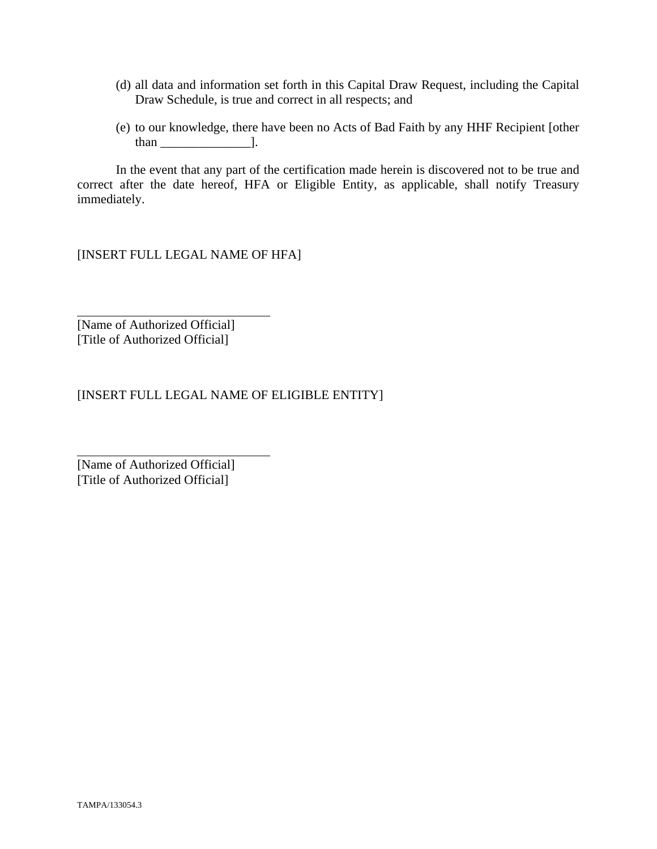- (d) all data and information set forth in this Capital Draw Request, including the Capital Draw Schedule, is true and correct in all respects; and
- (e) to our knowledge, there have been no Acts of Bad Faith by any HHF Recipient [other than  $\qquad$  ].

 In the event that any part of the certification made herein is discovered not to be true and correct after the date hereof, HFA or Eligible Entity, as applicable, shall notify Treasury immediately.

[INSERT FULL LEGAL NAME OF HFA]

[Name of Authorized Official] [Title of Authorized Official]

 $\overline{a}$ 

l

[INSERT FULL LEGAL NAME OF ELIGIBLE ENTITY]

[Name of Authorized Official] [Title of Authorized Official]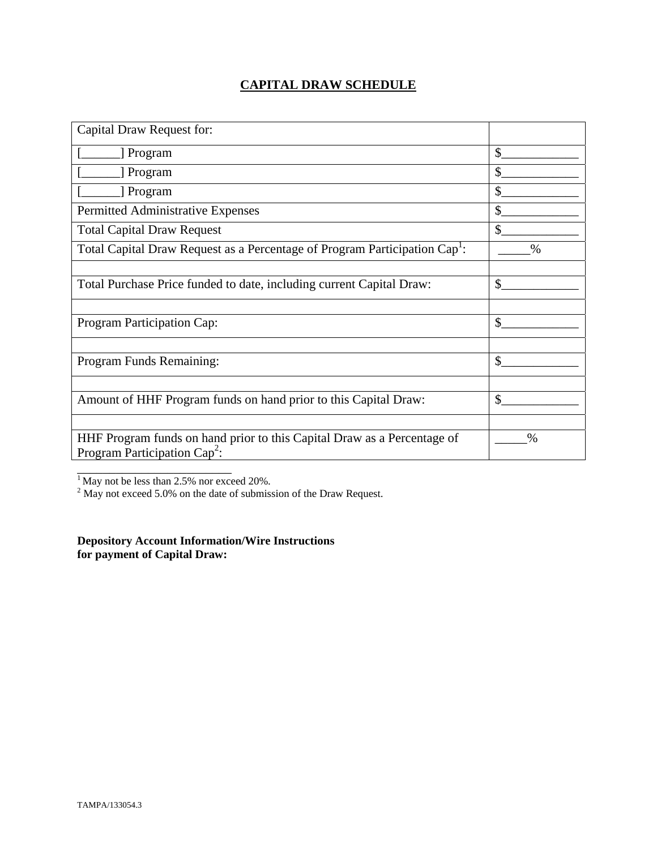#### **CAPITAL DRAW SCHEDULE**

| Capital Draw Request for:                                                                                  |               |
|------------------------------------------------------------------------------------------------------------|---------------|
| [ Program                                                                                                  | \$            |
| [ Program                                                                                                  | \$            |
| Program                                                                                                    | \$            |
| Permitted Administrative Expenses                                                                          | \$            |
| <b>Total Capital Draw Request</b>                                                                          | $\mathbb{S}$  |
| Total Capital Draw Request as a Percentage of Program Participation Cap <sup>1</sup> :                     | $\frac{0}{0}$ |
|                                                                                                            |               |
| Total Purchase Price funded to date, including current Capital Draw:                                       | \$            |
|                                                                                                            |               |
| Program Participation Cap:                                                                                 | \$            |
|                                                                                                            |               |
| Program Funds Remaining:                                                                                   | $\mathcal{S}$ |
|                                                                                                            |               |
| Amount of HHF Program funds on hand prior to this Capital Draw:                                            | \$            |
|                                                                                                            |               |
| HHF Program funds on hand prior to this Capital Draw as a Percentage of<br>Program Participation $Cap^2$ : | $\%$          |
|                                                                                                            |               |

<sup>1</sup> May not be less than 2.5% nor exceed 20%.<br><sup>2</sup> May not exceed 5.0% on the date of submission of the Draw Request.

**Depository Account Information/Wire Instructions for payment of Capital Draw:**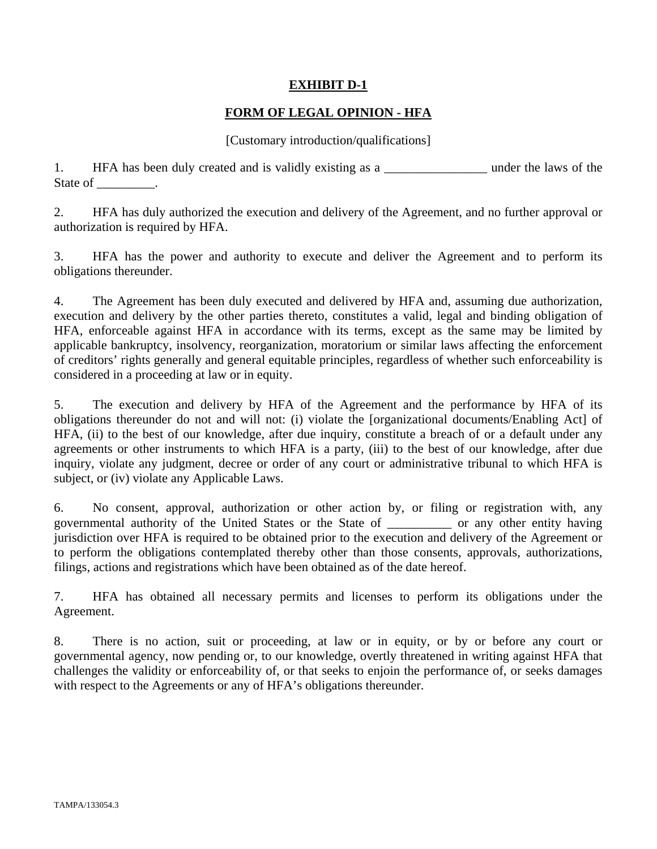#### **EXHIBIT D-1**

#### **FORM OF LEGAL OPINION - HFA**

#### [Customary introduction/qualifications]

1. HFA has been duly created and is validly existing as a \_\_\_\_\_\_\_\_\_\_\_\_\_\_\_\_\_\_\_\_ under the laws of the State of \_\_\_\_\_\_\_\_\_.

2. HFA has duly authorized the execution and delivery of the Agreement, and no further approval or authorization is required by HFA.

3. HFA has the power and authority to execute and deliver the Agreement and to perform its obligations thereunder.

4. The Agreement has been duly executed and delivered by HFA and, assuming due authorization, execution and delivery by the other parties thereto, constitutes a valid, legal and binding obligation of HFA, enforceable against HFA in accordance with its terms, except as the same may be limited by applicable bankruptcy, insolvency, reorganization, moratorium or similar laws affecting the enforcement of creditors' rights generally and general equitable principles, regardless of whether such enforceability is considered in a proceeding at law or in equity.

5. The execution and delivery by HFA of the Agreement and the performance by HFA of its obligations thereunder do not and will not: (i) violate the [organizational documents/Enabling Act] of HFA, (ii) to the best of our knowledge, after due inquiry, constitute a breach of or a default under any agreements or other instruments to which HFA is a party, (iii) to the best of our knowledge, after due inquiry, violate any judgment, decree or order of any court or administrative tribunal to which HFA is subject, or (iv) violate any Applicable Laws.

6. No consent, approval, authorization or other action by, or filing or registration with, any governmental authority of the United States or the State of \_\_\_\_\_\_\_\_\_\_ or any other entity having jurisdiction over HFA is required to be obtained prior to the execution and delivery of the Agreement or to perform the obligations contemplated thereby other than those consents, approvals, authorizations, filings, actions and registrations which have been obtained as of the date hereof.

7. HFA has obtained all necessary permits and licenses to perform its obligations under the Agreement.

8. There is no action, suit or proceeding, at law or in equity, or by or before any court or governmental agency, now pending or, to our knowledge, overtly threatened in writing against HFA that challenges the validity or enforceability of, or that seeks to enjoin the performance of, or seeks damages with respect to the Agreements or any of HFA's obligations thereunder.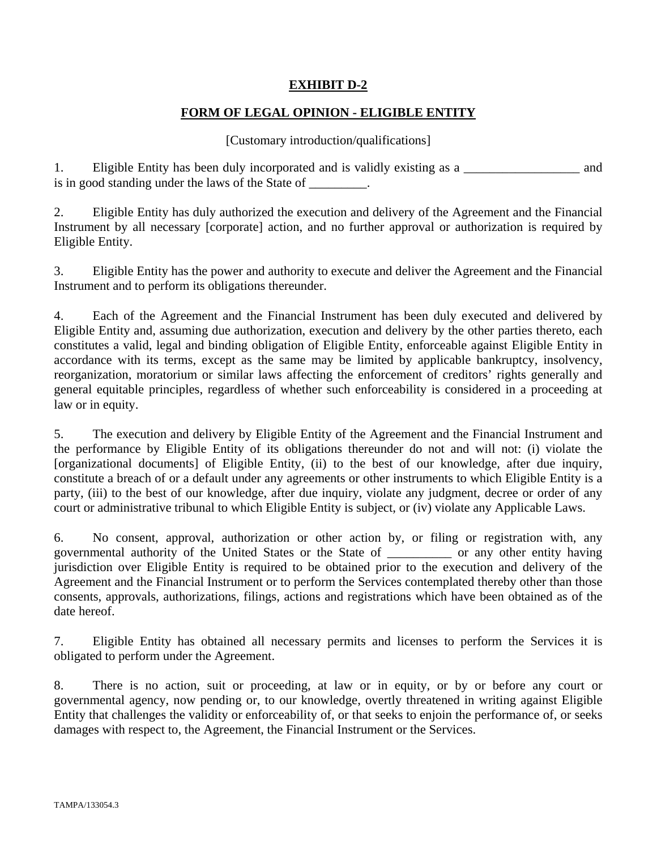#### **EXHIBIT D-2**

#### **FORM OF LEGAL OPINION - ELIGIBLE ENTITY**

#### [Customary introduction/qualifications]

1. Eligible Entity has been duly incorporated and is validly existing as a \_\_\_\_\_\_\_\_\_\_\_\_\_\_\_\_\_\_ and is in good standing under the laws of the State of \_\_\_\_\_\_\_\_.

2. Eligible Entity has duly authorized the execution and delivery of the Agreement and the Financial Instrument by all necessary [corporate] action, and no further approval or authorization is required by Eligible Entity.

3. Eligible Entity has the power and authority to execute and deliver the Agreement and the Financial Instrument and to perform its obligations thereunder.

4. Each of the Agreement and the Financial Instrument has been duly executed and delivered by Eligible Entity and, assuming due authorization, execution and delivery by the other parties thereto, each constitutes a valid, legal and binding obligation of Eligible Entity, enforceable against Eligible Entity in accordance with its terms, except as the same may be limited by applicable bankruptcy, insolvency, reorganization, moratorium or similar laws affecting the enforcement of creditors' rights generally and general equitable principles, regardless of whether such enforceability is considered in a proceeding at law or in equity.

5. The execution and delivery by Eligible Entity of the Agreement and the Financial Instrument and the performance by Eligible Entity of its obligations thereunder do not and will not: (i) violate the [organizational documents] of Eligible Entity, (ii) to the best of our knowledge, after due inquiry, constitute a breach of or a default under any agreements or other instruments to which Eligible Entity is a party, (iii) to the best of our knowledge, after due inquiry, violate any judgment, decree or order of any court or administrative tribunal to which Eligible Entity is subject, or (iv) violate any Applicable Laws.

6. No consent, approval, authorization or other action by, or filing or registration with, any governmental authority of the United States or the State of \_\_\_\_\_\_\_\_\_\_ or any other entity having jurisdiction over Eligible Entity is required to be obtained prior to the execution and delivery of the Agreement and the Financial Instrument or to perform the Services contemplated thereby other than those consents, approvals, authorizations, filings, actions and registrations which have been obtained as of the date hereof.

7. Eligible Entity has obtained all necessary permits and licenses to perform the Services it is obligated to perform under the Agreement.

8. There is no action, suit or proceeding, at law or in equity, or by or before any court or governmental agency, now pending or, to our knowledge, overtly threatened in writing against Eligible Entity that challenges the validity or enforceability of, or that seeks to enjoin the performance of, or seeks damages with respect to, the Agreement, the Financial Instrument or the Services.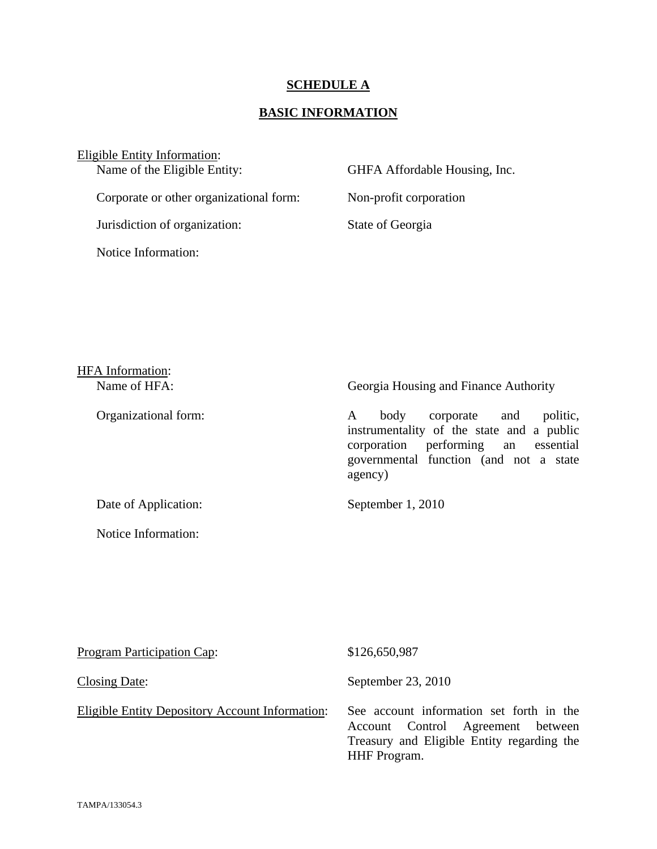#### **SCHEDULE A**

#### **BASIC INFORMATION**

# Eligible Entity Information:<br>Name of the Eligible Entity:

Corporate or other organizational form: Non-profit corporation

Jurisdiction of organization: State of Georgia

Notice Information:

#### GHFA Affordable Housing, Inc.

# HFA Information: Name of HFA: Georgia Housing and Finance Authority Organizational form: A body corporate and politic, instrumentality of the state and a public corporation performing an essential governmental function (and not a state agency) Date of Application: September 1, 2010 Notice Information:

| <b>Program Participation Cap:</b>               | \$126,650,987                                                                                                                                      |
|-------------------------------------------------|----------------------------------------------------------------------------------------------------------------------------------------------------|
| <b>Closing Date:</b>                            | September 23, 2010                                                                                                                                 |
| Eligible Entity Depository Account Information: | See account information set forth in the<br>Account Control Agreement between<br>Treasury and Eligible Entity regarding the<br><b>HHF</b> Program. |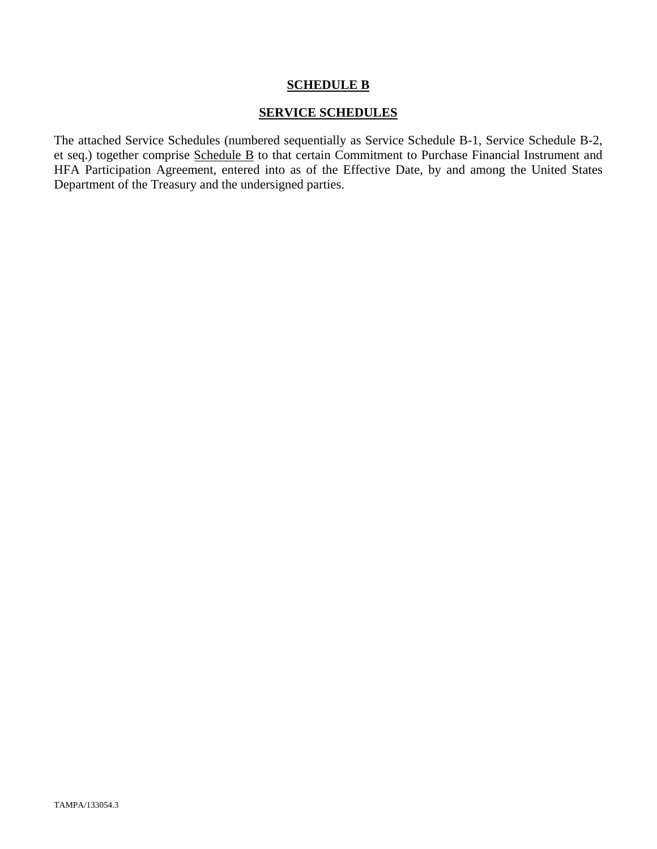#### **SCHEDULE B**

#### **SERVICE SCHEDULES**

The attached Service Schedules (numbered sequentially as Service Schedule B-1, Service Schedule B-2, et seq.) together comprise Schedule B to that certain Commitment to Purchase Financial Instrument and HFA Participation Agreement, entered into as of the Effective Date, by and among the United States Department of the Treasury and the undersigned parties.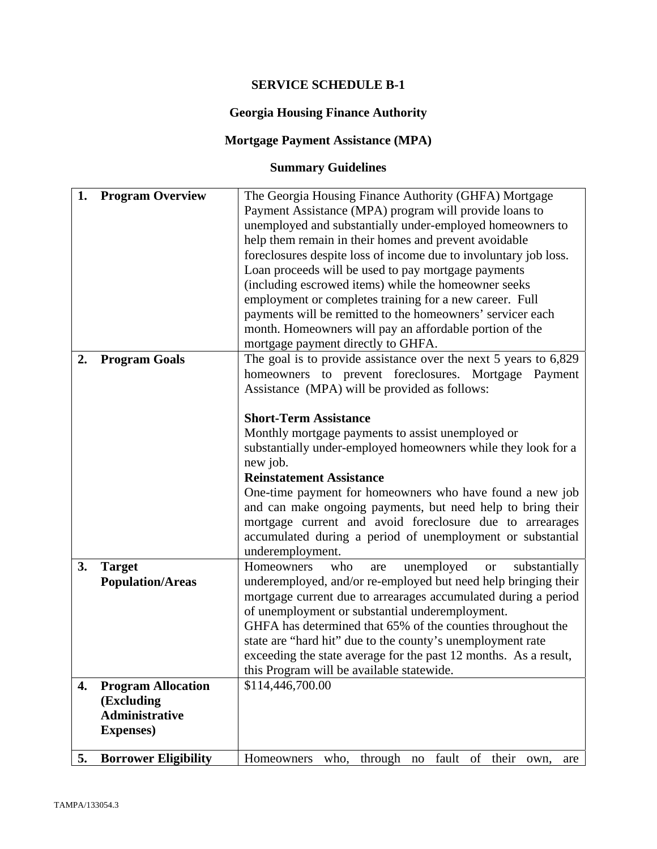#### **SERVICE SCHEDULE B-1**

#### **Georgia Housing Finance Authority**

#### **Mortgage Payment Assistance (MPA)**

# **Summary Guidelines**

| 1. | <b>Program Overview</b>     | The Georgia Housing Finance Authority (GHFA) Mortgage                                                                 |  |  |  |
|----|-----------------------------|-----------------------------------------------------------------------------------------------------------------------|--|--|--|
|    |                             | Payment Assistance (MPA) program will provide loans to                                                                |  |  |  |
|    |                             | unemployed and substantially under-employed homeowners to                                                             |  |  |  |
|    |                             | help them remain in their homes and prevent avoidable                                                                 |  |  |  |
|    |                             | foreclosures despite loss of income due to involuntary job loss.                                                      |  |  |  |
|    |                             | Loan proceeds will be used to pay mortgage payments<br>(including escrowed items) while the homeowner seeks           |  |  |  |
|    |                             |                                                                                                                       |  |  |  |
|    |                             | employment or completes training for a new career. Full<br>payments will be remitted to the homeowners' servicer each |  |  |  |
|    |                             |                                                                                                                       |  |  |  |
|    |                             | month. Homeowners will pay an affordable portion of the                                                               |  |  |  |
|    |                             | mortgage payment directly to GHFA.                                                                                    |  |  |  |
| 2. | <b>Program Goals</b>        | The goal is to provide assistance over the next $5$ years to $6,829$                                                  |  |  |  |
|    |                             | homeowners to prevent foreclosures. Mortgage Payment                                                                  |  |  |  |
|    |                             | Assistance (MPA) will be provided as follows:                                                                         |  |  |  |
|    |                             |                                                                                                                       |  |  |  |
|    |                             | <b>Short-Term Assistance</b>                                                                                          |  |  |  |
|    |                             | Monthly mortgage payments to assist unemployed or                                                                     |  |  |  |
|    |                             | substantially under-employed homeowners while they look for a                                                         |  |  |  |
|    |                             | new job.                                                                                                              |  |  |  |
|    |                             | <b>Reinstatement Assistance</b>                                                                                       |  |  |  |
|    |                             | One-time payment for homeowners who have found a new job                                                              |  |  |  |
|    |                             | and can make ongoing payments, but need help to bring their                                                           |  |  |  |
|    |                             | mortgage current and avoid foreclosure due to arrearages                                                              |  |  |  |
|    |                             | accumulated during a period of unemployment or substantial                                                            |  |  |  |
|    |                             |                                                                                                                       |  |  |  |
|    |                             | underemployment.                                                                                                      |  |  |  |
| 3. | <b>Target</b>               | unemployed<br>Homeowners<br>who<br>substantially<br><b>or</b><br>are                                                  |  |  |  |
|    | <b>Population/Areas</b>     | underemployed, and/or re-employed but need help bringing their                                                        |  |  |  |
|    |                             | mortgage current due to arrearages accumulated during a period                                                        |  |  |  |
|    |                             | of unemployment or substantial underemployment.                                                                       |  |  |  |
|    |                             | GHFA has determined that 65% of the counties throughout the                                                           |  |  |  |
|    |                             | state are "hard hit" due to the county's unemployment rate                                                            |  |  |  |
|    |                             | exceeding the state average for the past 12 months. As a result,                                                      |  |  |  |
|    |                             | this Program will be available statewide.                                                                             |  |  |  |
| 4. | <b>Program Allocation</b>   | \$114,446,700.00                                                                                                      |  |  |  |
|    | (Excluding                  |                                                                                                                       |  |  |  |
|    | <b>Administrative</b>       |                                                                                                                       |  |  |  |
|    | <b>Expenses</b> )           |                                                                                                                       |  |  |  |
|    |                             | fault                                                                                                                 |  |  |  |
| 5. | <b>Borrower Eligibility</b> | through no<br>of<br>who,<br>their<br>Homeowners<br>own,<br>are                                                        |  |  |  |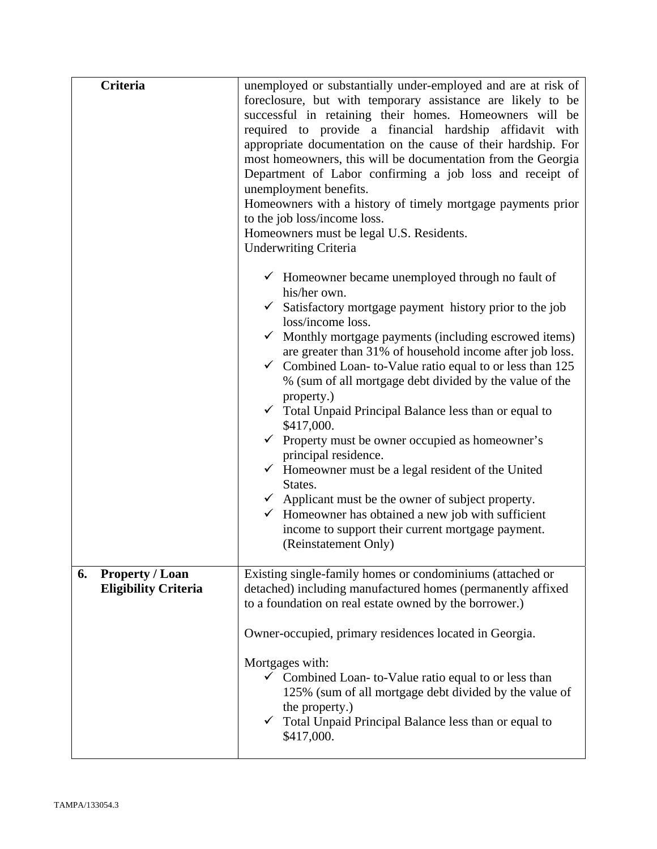| <b>Criteria</b>                                             | unemployed or substantially under-employed and are at risk of<br>foreclosure, but with temporary assistance are likely to be<br>successful in retaining their homes. Homeowners will be<br>required to provide a financial hardship affidavit with<br>appropriate documentation on the cause of their hardship. For<br>most homeowners, this will be documentation from the Georgia<br>Department of Labor confirming a job loss and receipt of<br>unemployment benefits.<br>Homeowners with a history of timely mortgage payments prior<br>to the job loss/income loss.<br>Homeowners must be legal U.S. Residents.<br><b>Underwriting Criteria</b>                                                                                                       |  |
|-------------------------------------------------------------|------------------------------------------------------------------------------------------------------------------------------------------------------------------------------------------------------------------------------------------------------------------------------------------------------------------------------------------------------------------------------------------------------------------------------------------------------------------------------------------------------------------------------------------------------------------------------------------------------------------------------------------------------------------------------------------------------------------------------------------------------------|--|
|                                                             | $\checkmark$ Homeowner became unemployed through no fault of<br>his/her own.<br>$\checkmark$ Satisfactory mortgage payment history prior to the job                                                                                                                                                                                                                                                                                                                                                                                                                                                                                                                                                                                                        |  |
|                                                             | loss/income loss.<br>Monthly mortgage payments (including escrowed items)<br>are greater than 31% of household income after job loss.<br>$\checkmark$ Combined Loan-to-Value ratio equal to or less than 125<br>% (sum of all mortgage debt divided by the value of the<br>property.)<br>$\checkmark$ Total Unpaid Principal Balance less than or equal to<br>\$417,000.<br>$\checkmark$ Property must be owner occupied as homeowner's<br>principal residence.<br>$\checkmark$ Homeowner must be a legal resident of the United<br>States.<br>$\checkmark$ Applicant must be the owner of subject property.<br>$\checkmark$ Homeowner has obtained a new job with sufficient<br>income to support their current mortgage payment.<br>(Reinstatement Only) |  |
| <b>Property / Loan</b><br>6.<br><b>Eligibility Criteria</b> | Existing single-family homes or condominiums (attached or<br>detached) including manufactured homes (permanently affixed<br>to a foundation on real estate owned by the borrower.)                                                                                                                                                                                                                                                                                                                                                                                                                                                                                                                                                                         |  |
|                                                             | Owner-occupied, primary residences located in Georgia.                                                                                                                                                                                                                                                                                                                                                                                                                                                                                                                                                                                                                                                                                                     |  |
|                                                             | Mortgages with:<br>$\checkmark$ Combined Loan-to-Value ratio equal to or less than<br>125% (sum of all mortgage debt divided by the value of<br>the property.)<br>Total Unpaid Principal Balance less than or equal to<br>\$417,000.                                                                                                                                                                                                                                                                                                                                                                                                                                                                                                                       |  |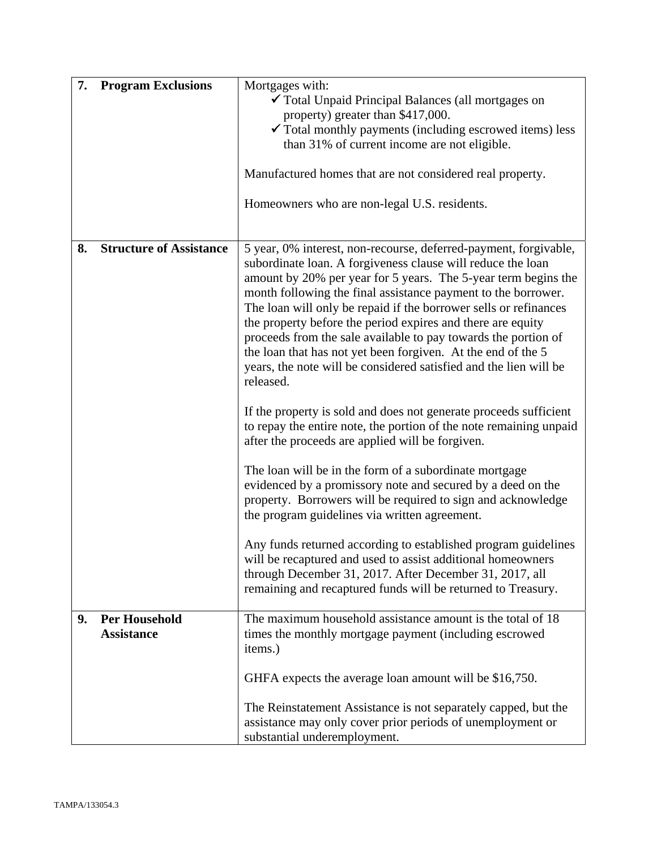| 7. | <b>Program Exclusions</b>                 | Mortgages with:<br>✔ Total Unpaid Principal Balances (all mortgages on<br>property) greater than \$417,000.<br>$\checkmark$ Total monthly payments (including escrowed items) less<br>than 31% of current income are not eligible.                                                                                                                                                                                                                                                                                                                                                                                        |  |
|----|-------------------------------------------|---------------------------------------------------------------------------------------------------------------------------------------------------------------------------------------------------------------------------------------------------------------------------------------------------------------------------------------------------------------------------------------------------------------------------------------------------------------------------------------------------------------------------------------------------------------------------------------------------------------------------|--|
|    |                                           | Manufactured homes that are not considered real property.                                                                                                                                                                                                                                                                                                                                                                                                                                                                                                                                                                 |  |
|    |                                           | Homeowners who are non-legal U.S. residents.                                                                                                                                                                                                                                                                                                                                                                                                                                                                                                                                                                              |  |
| 8. | <b>Structure of Assistance</b>            | 5 year, 0% interest, non-recourse, deferred-payment, forgivable,<br>subordinate loan. A forgiveness clause will reduce the loan<br>amount by 20% per year for 5 years. The 5-year term begins the<br>month following the final assistance payment to the borrower.<br>The loan will only be repaid if the borrower sells or refinances<br>the property before the period expires and there are equity<br>proceeds from the sale available to pay towards the portion of<br>the loan that has not yet been forgiven. At the end of the 5<br>years, the note will be considered satisfied and the lien will be<br>released. |  |
|    |                                           | If the property is sold and does not generate proceeds sufficient<br>to repay the entire note, the portion of the note remaining unpaid<br>after the proceeds are applied will be forgiven.                                                                                                                                                                                                                                                                                                                                                                                                                               |  |
|    |                                           | The loan will be in the form of a subordinate mortgage<br>evidenced by a promissory note and secured by a deed on the<br>property. Borrowers will be required to sign and acknowledge<br>the program guidelines via written agreement.                                                                                                                                                                                                                                                                                                                                                                                    |  |
|    |                                           | Any funds returned according to established program guidelines<br>will be recaptured and used to assist additional homeowners<br>through December 31, 2017. After December 31, 2017, all<br>remaining and recaptured funds will be returned to Treasury.                                                                                                                                                                                                                                                                                                                                                                  |  |
| 9. | <b>Per Household</b><br><b>Assistance</b> | The maximum household assistance amount is the total of 18<br>times the monthly mortgage payment (including escrowed<br>items.)                                                                                                                                                                                                                                                                                                                                                                                                                                                                                           |  |
|    |                                           | GHFA expects the average loan amount will be \$16,750.                                                                                                                                                                                                                                                                                                                                                                                                                                                                                                                                                                    |  |
|    |                                           | The Reinstatement Assistance is not separately capped, but the<br>assistance may only cover prior periods of unemployment or<br>substantial underemployment.                                                                                                                                                                                                                                                                                                                                                                                                                                                              |  |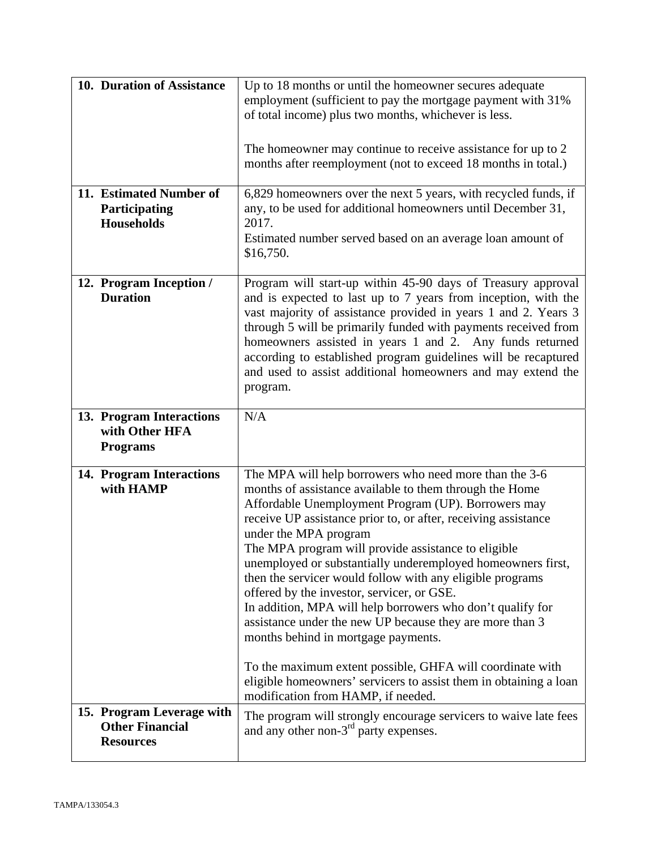| 10. Duration of Assistance                                              | Up to 18 months or until the homeowner secures adequate<br>employment (sufficient to pay the mortgage payment with 31%<br>of total income) plus two months, whichever is less.<br>The homeowner may continue to receive assistance for up to 2<br>months after reemployment (not to exceed 18 months in total.)                                                                                                                                                                                                                                                                                                                                                                                                                                                                                         |
|-------------------------------------------------------------------------|---------------------------------------------------------------------------------------------------------------------------------------------------------------------------------------------------------------------------------------------------------------------------------------------------------------------------------------------------------------------------------------------------------------------------------------------------------------------------------------------------------------------------------------------------------------------------------------------------------------------------------------------------------------------------------------------------------------------------------------------------------------------------------------------------------|
| 11. Estimated Number of<br>Participating<br><b>Households</b>           | 6,829 homeowners over the next 5 years, with recycled funds, if<br>any, to be used for additional homeowners until December 31,<br>2017.<br>Estimated number served based on an average loan amount of<br>\$16,750.                                                                                                                                                                                                                                                                                                                                                                                                                                                                                                                                                                                     |
| 12. Program Inception /<br><b>Duration</b>                              | Program will start-up within 45-90 days of Treasury approval<br>and is expected to last up to 7 years from inception, with the<br>vast majority of assistance provided in years 1 and 2. Years 3<br>through 5 will be primarily funded with payments received from<br>homeowners assisted in years 1 and 2. Any funds returned<br>according to established program guidelines will be recaptured<br>and used to assist additional homeowners and may extend the<br>program.                                                                                                                                                                                                                                                                                                                             |
| 13. Program Interactions<br>with Other HFA<br><b>Programs</b>           | N/A                                                                                                                                                                                                                                                                                                                                                                                                                                                                                                                                                                                                                                                                                                                                                                                                     |
| 14. Program Interactions<br>with HAMP                                   | The MPA will help borrowers who need more than the 3-6<br>months of assistance available to them through the Home<br>Affordable Unemployment Program (UP). Borrowers may<br>receive UP assistance prior to, or after, receiving assistance<br>under the MPA program<br>The MPA program will provide assistance to eligible<br>unemployed or substantially underemployed homeowners first,<br>then the servicer would follow with any eligible programs<br>offered by the investor, servicer, or GSE.<br>In addition, MPA will help borrowers who don't qualify for<br>assistance under the new UP because they are more than 3<br>months behind in mortgage payments.<br>To the maximum extent possible, GHFA will coordinate with<br>eligible homeowners' servicers to assist them in obtaining a loan |
| 15. Program Leverage with<br><b>Other Financial</b><br><b>Resources</b> | modification from HAMP, if needed.<br>The program will strongly encourage servicers to waive late fees<br>and any other non-3 <sup>rd</sup> party expenses.                                                                                                                                                                                                                                                                                                                                                                                                                                                                                                                                                                                                                                             |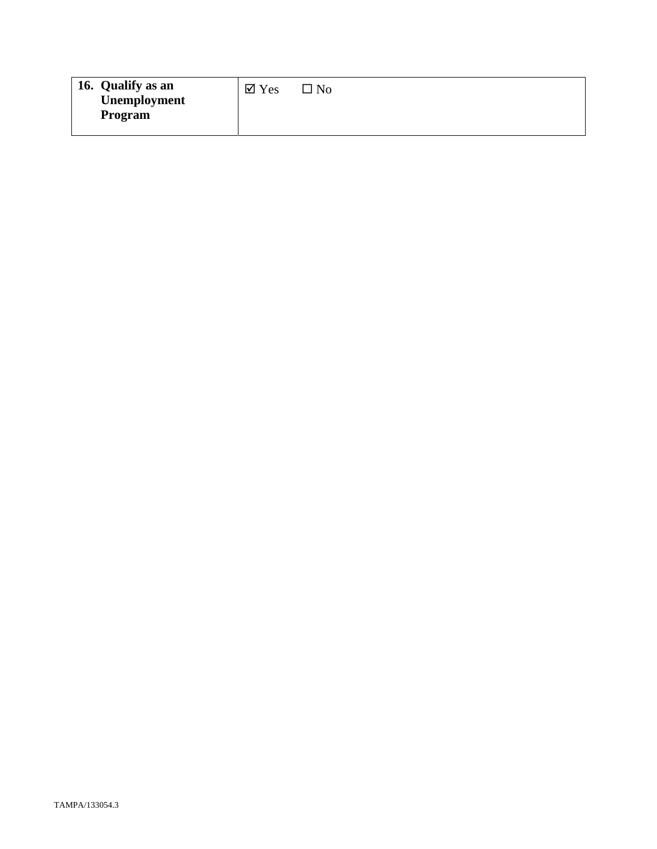| 16. Qualify as an<br>Unemployment<br>Program | $\boxtimes$ Yes | $\square$ No |
|----------------------------------------------|-----------------|--------------|
|----------------------------------------------|-----------------|--------------|